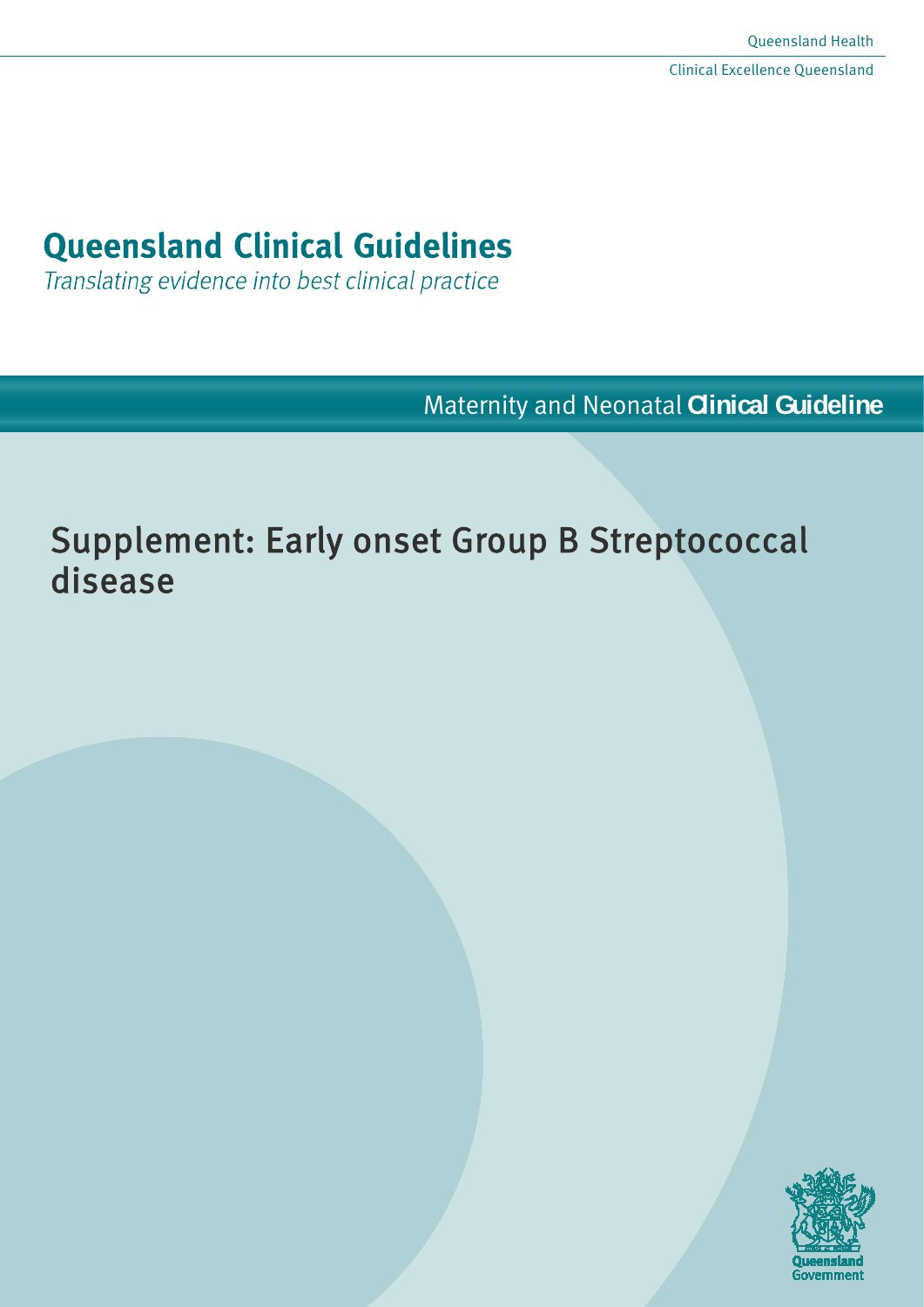# **Queensland Clinical Guidelines**

Translating evidence into best clinical practice

Maternity and Neonatal **Clinical Guideline**

# Supplement: Early onset Group B Streptococcal disease

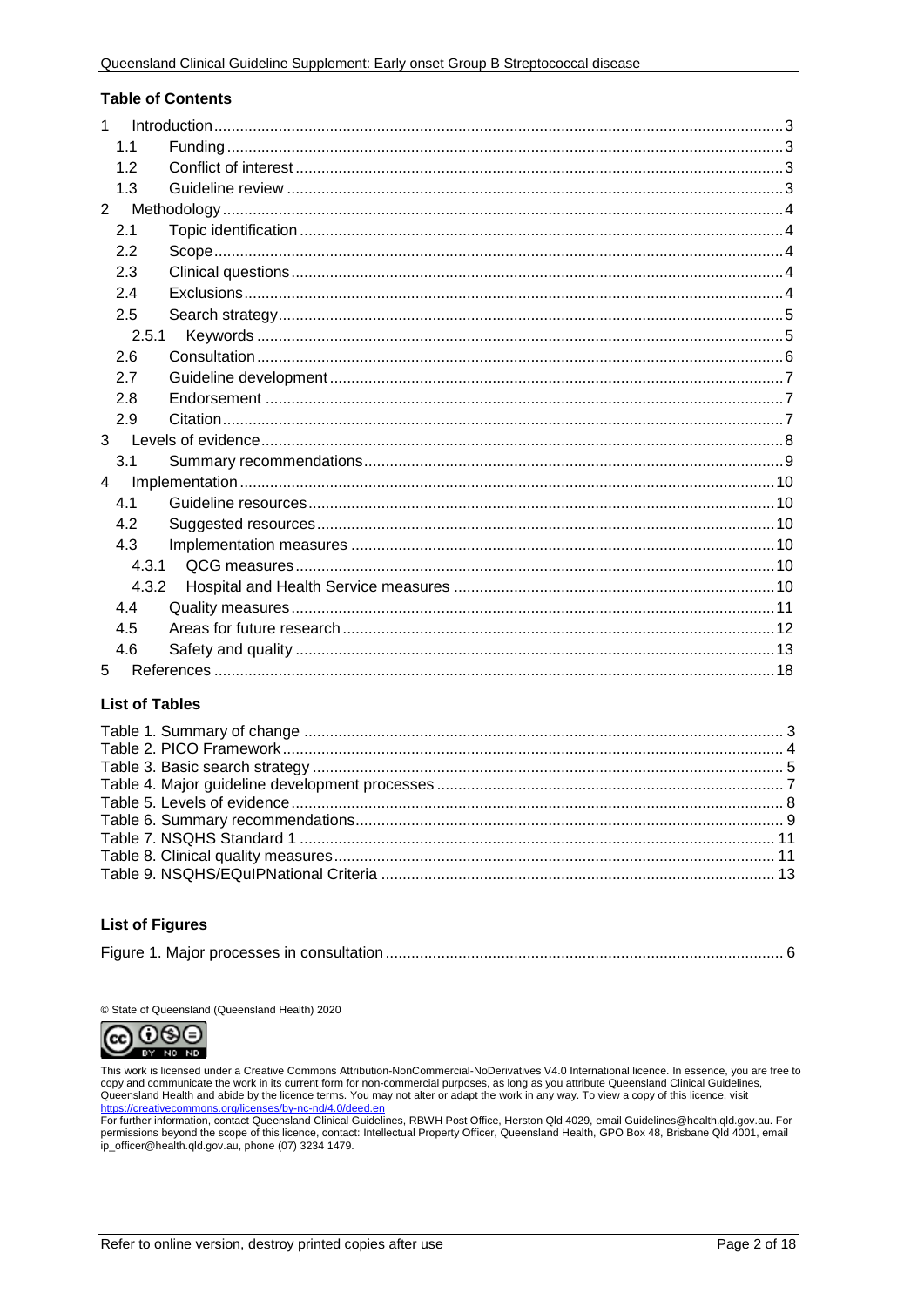#### **Table of Contents**

| 1              |  |
|----------------|--|
| 1.1            |  |
| 1.2            |  |
| 1.3            |  |
| $\overline{2}$ |  |
| 2.1            |  |
| 2.2            |  |
| 2.3            |  |
| 2.4            |  |
| 2.5            |  |
| 2.5.1          |  |
| 2.6            |  |
| 2.7            |  |
| 2.8            |  |
| 2.9            |  |
| $\mathbf{3}$   |  |
| 3.1            |  |
| $\overline{4}$ |  |
| 4.1            |  |
| 4.2            |  |
| 4.3            |  |
| 4.3.1          |  |
| 4.3.2          |  |
| 4.4            |  |
| 4.5            |  |
| 4.6            |  |
| 5              |  |

#### **List of Tables**

#### **List of Figures**

|--|--|

© State of Queensland (Queensland Health) 2020



This work is licensed under a Creative Commons Attribution-NonCommercial-NoDerivatives V4.0 International licence. In essence, you are free to copy and communicate the work in its current form for non-commercial purposes, as long as you attribute Queensland Clinical Guidelines, Superintendent Health and abide by the licence terms. You may not alter or adapt the work in any way. To view a copy of this licence, visit<br>https://creativecommons.org/licenses/by-nc-nd/4.0/deed.en

For further information, contact Queensland Clinical Guidelines, RBWH Post Office, Herston Qld 4029, email Guidelines@health.qld.gov.au. For permissions beyond the scope of this licence, contact: Intellectual Property Officer, Queensland Health, GPO Box 48, Brisbane Qld 4001, email ip\_officer@health.qld.gov.au, phone (07) 3234 1479.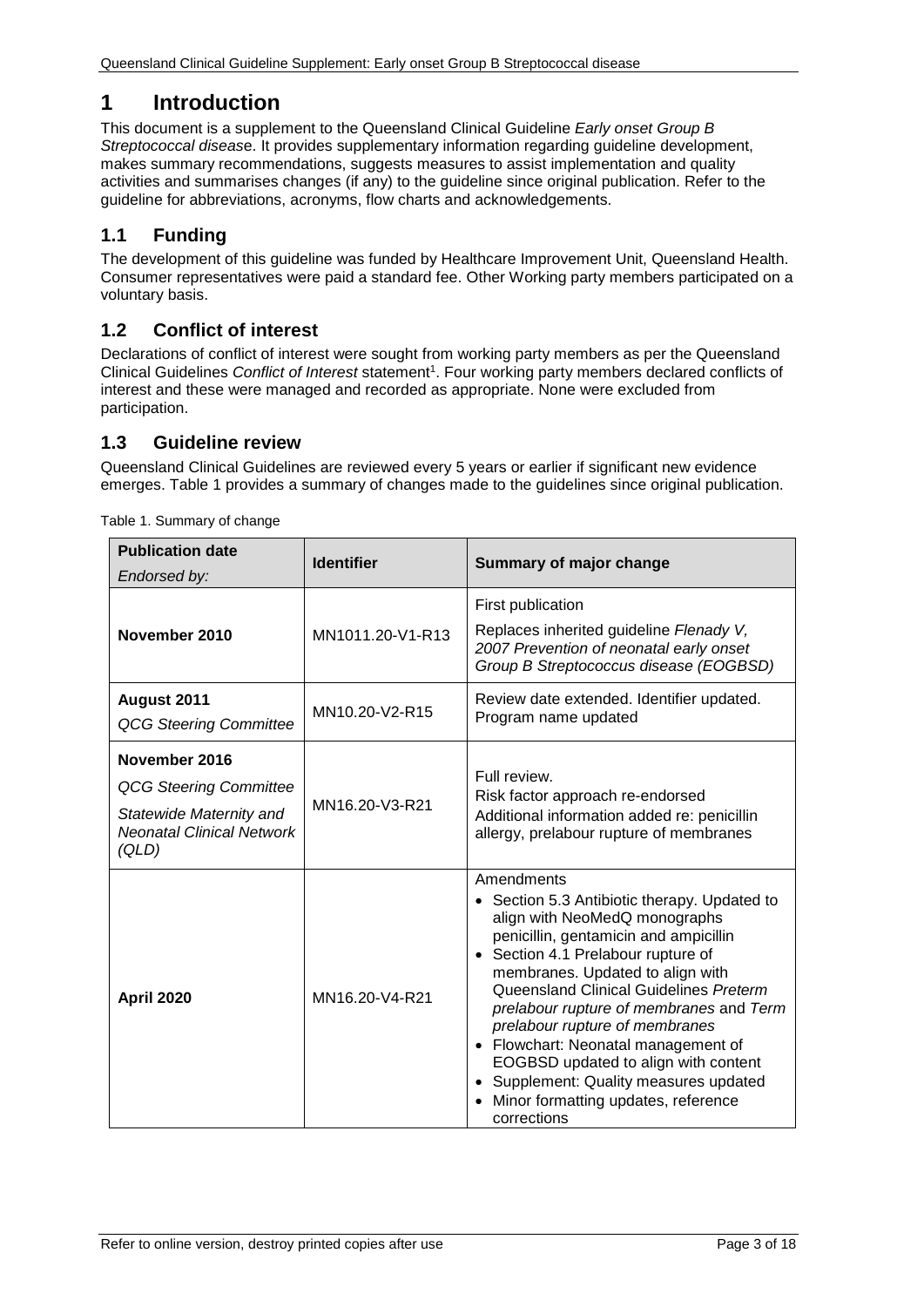# <span id="page-2-0"></span>**1 Introduction**

This document is a supplement to the Queensland Clinical Guideline *Early onset Group B Streptococcal diseas*e. It provides supplementary information regarding guideline development, makes summary recommendations, suggests measures to assist implementation and quality activities and summarises changes (if any) to the guideline since original publication. Refer to the guideline for abbreviations, acronyms, flow charts and acknowledgements.

# <span id="page-2-1"></span>**1.1 Funding**

The development of this guideline was funded by Healthcare Improvement Unit, Queensland Health. Consumer representatives were paid a standard fee. Other Working party members participated on a voluntary basis.

# <span id="page-2-2"></span>**1.2 Conflict of interest**

Declarations of conflict of interest were sought from working party members as per the Queensland Clinical Guidelines *Conflict of Interest* statement1. Four working party members declared conflicts of interest and these were managed and recorded as appropriate. None were excluded from participation.

## <span id="page-2-3"></span>**1.3 Guideline review**

Queensland Clinical Guidelines are reviewed every 5 years or earlier if significant new evidence emerges. [Table 1](#page-2-4) provides a summary of changes made to the guidelines since original publication.

| <b>Publication date</b><br>Endorsed by:                                                                                | <b>Identifier</b> | <b>Summary of major change</b>                                                                                                                                                                                                                                                                                                                                                                                                                                                                                       |
|------------------------------------------------------------------------------------------------------------------------|-------------------|----------------------------------------------------------------------------------------------------------------------------------------------------------------------------------------------------------------------------------------------------------------------------------------------------------------------------------------------------------------------------------------------------------------------------------------------------------------------------------------------------------------------|
| November 2010                                                                                                          | MN1011.20-V1-R13  | First publication<br>Replaces inherited guideline Flenady V,<br>2007 Prevention of neonatal early onset<br>Group B Streptococcus disease (EOGBSD)                                                                                                                                                                                                                                                                                                                                                                    |
| August 2011<br><b>QCG Steering Committee</b>                                                                           | MN10.20-V2-R15    | Review date extended. Identifier updated.<br>Program name updated                                                                                                                                                                                                                                                                                                                                                                                                                                                    |
| November 2016<br><b>QCG Steering Committee</b><br>Statewide Maternity and<br><b>Neonatal Clinical Network</b><br>(QLD) | MN16.20-V3-R21    | Full review.<br>Risk factor approach re-endorsed<br>Additional information added re: penicillin<br>allergy, prelabour rupture of membranes                                                                                                                                                                                                                                                                                                                                                                           |
| <b>April 2020</b>                                                                                                      | MN16.20-V4-R21    | Amendments<br>• Section 5.3 Antibiotic therapy. Updated to<br>align with NeoMedQ monographs<br>penicillin, gentamicin and ampicillin<br>• Section 4.1 Prelabour rupture of<br>membranes. Updated to align with<br>Queensland Clinical Guidelines Preterm<br>prelabour rupture of membranes and Term<br>prelabour rupture of membranes<br>• Flowchart: Neonatal management of<br>EOGBSD updated to align with content<br>• Supplement: Quality measures updated<br>Minor formatting updates, reference<br>corrections |

<span id="page-2-4"></span>Table 1. Summary of change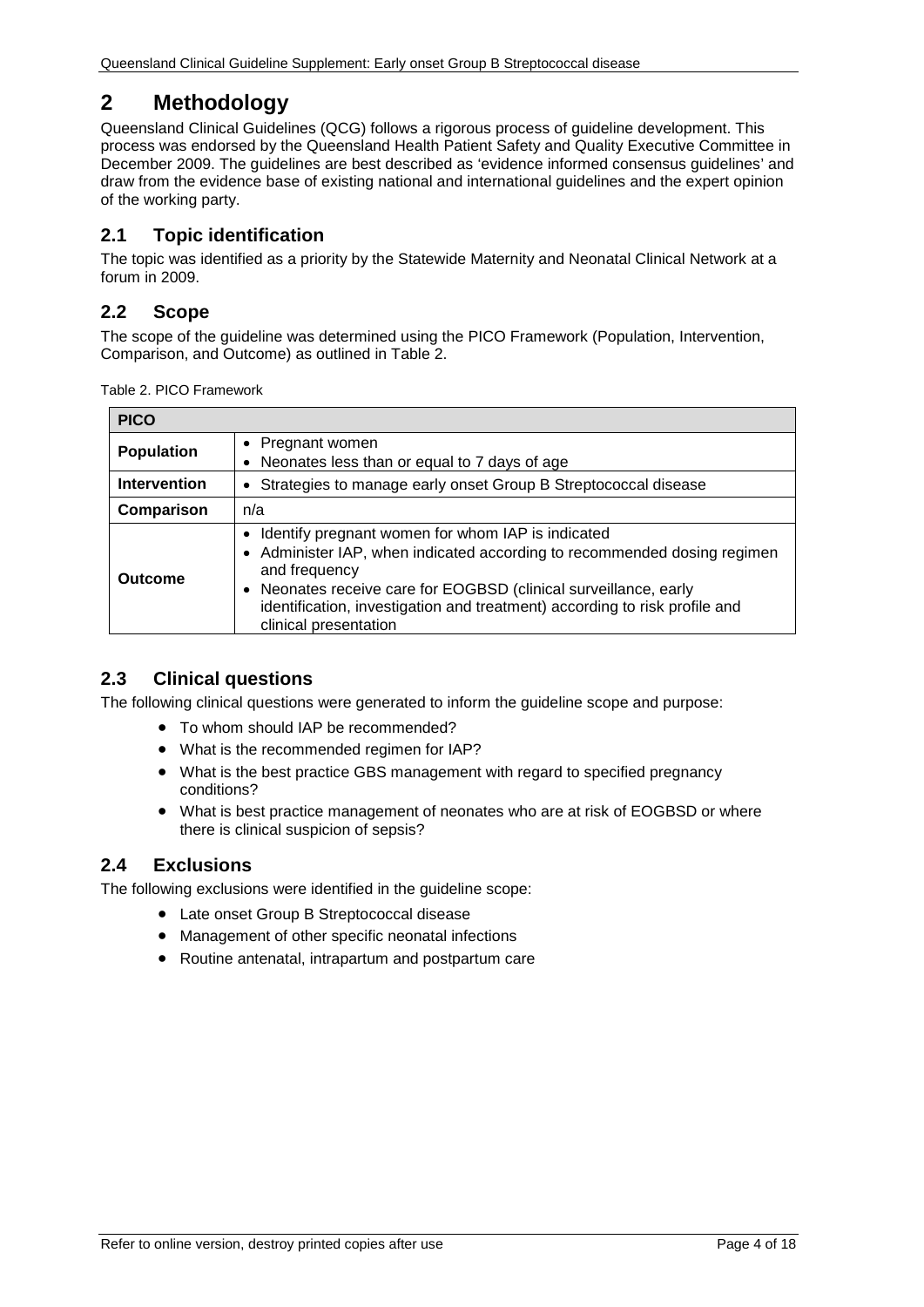# <span id="page-3-0"></span>**2 Methodology**

Queensland Clinical Guidelines (QCG) follows a rigorous process of guideline development. This process was endorsed by the Queensland Health Patient Safety and Quality Executive Committee in December 2009. The guidelines are best described as 'evidence informed consensus guidelines' and draw from the evidence base of existing national and international guidelines and the expert opinion of the working party.

# <span id="page-3-1"></span>**2.1 Topic identification**

The topic was identified as a priority by the Statewide Maternity and Neonatal Clinical Network at a forum in 2009.

# <span id="page-3-2"></span>**2.2 Scope**

The scope of the guideline was determined using the PICO Framework (Population, Intervention, Comparison, and Outcome) as outlined in [Table 2.](#page-3-5)

<span id="page-3-5"></span>Table 2. PICO Framework

| <b>PICO</b>         |                                                                                                                                                                                                                                                                                                                             |  |  |
|---------------------|-----------------------------------------------------------------------------------------------------------------------------------------------------------------------------------------------------------------------------------------------------------------------------------------------------------------------------|--|--|
| <b>Population</b>   | • Pregnant women<br>• Neonates less than or equal to 7 days of age                                                                                                                                                                                                                                                          |  |  |
| <b>Intervention</b> | Strategies to manage early onset Group B Streptococcal disease<br>$\bullet$                                                                                                                                                                                                                                                 |  |  |
| Comparison          | n/a                                                                                                                                                                                                                                                                                                                         |  |  |
| Outcome             | • Identify pregnant women for whom IAP is indicated<br>• Administer IAP, when indicated according to recommended dosing regimen<br>and frequency<br>• Neonates receive care for EOGBSD (clinical surveillance, early<br>identification, investigation and treatment) according to risk profile and<br>clinical presentation |  |  |

# <span id="page-3-3"></span>**2.3 Clinical questions**

The following clinical questions were generated to inform the guideline scope and purpose:

- To whom should IAP be recommended?
- What is the recommended regimen for IAP?
- What is the best practice GBS management with regard to specified pregnancy conditions?
- What is best practice management of neonates who are at risk of EOGBSD or where there is clinical suspicion of sepsis?

# <span id="page-3-4"></span>**2.4 Exclusions**

The following exclusions were identified in the guideline scope:

- Late onset Group B Streptococcal disease
- Management of other specific neonatal infections
- Routine antenatal, intrapartum and postpartum care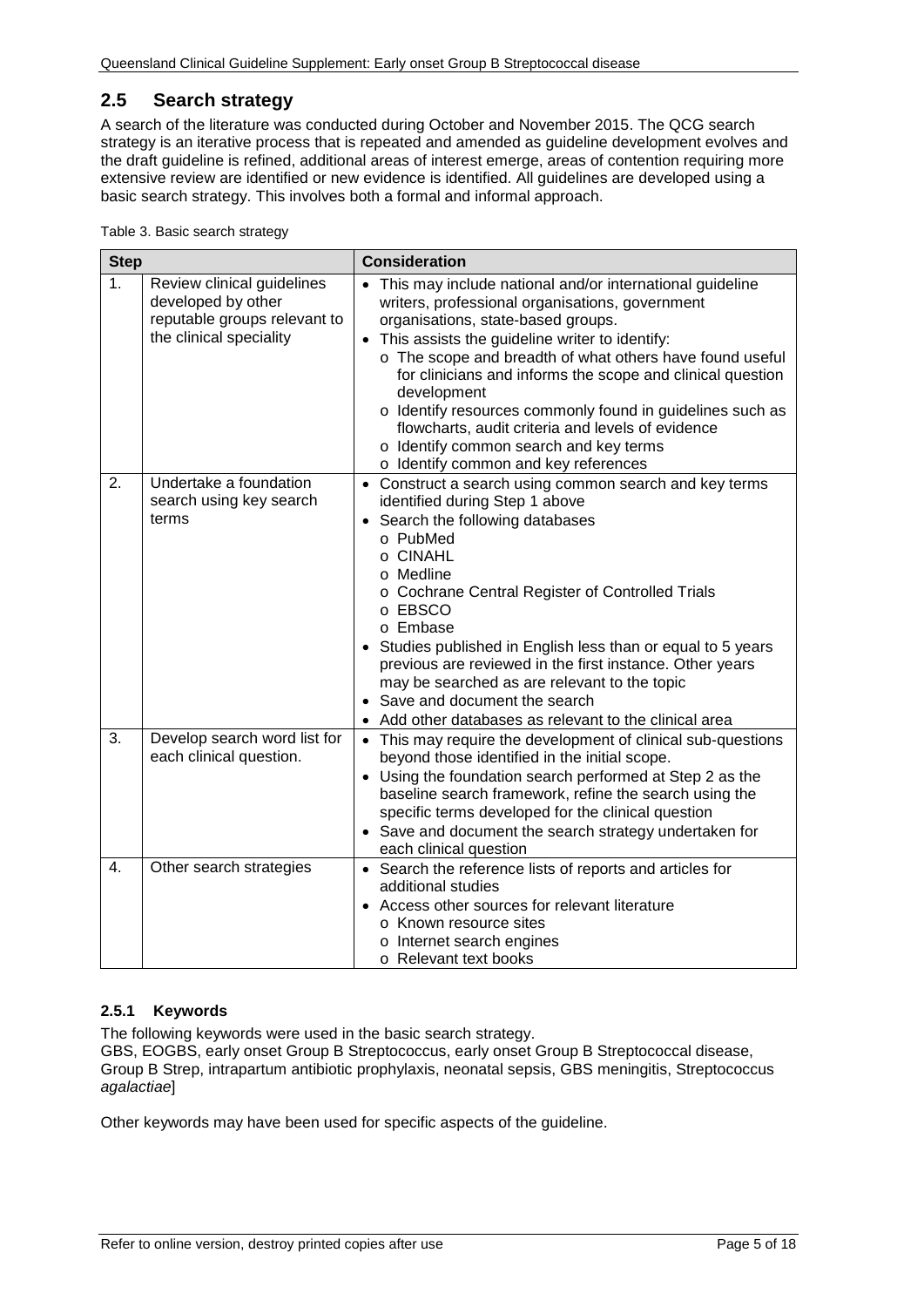# <span id="page-4-0"></span>**2.5 Search strategy**

A search of the literature was conducted during October and November 2015. The QCG search strategy is an iterative process that is repeated and amended as guideline development evolves and the draft guideline is refined, additional areas of interest emerge, areas of contention requiring more extensive review are identified or new evidence is identified. All guidelines are developed using a basic search strategy. This involves both a formal and informal approach.

<span id="page-4-2"></span>

| <b>Step</b>    |                                                                                                             | <b>Consideration</b>                                                                                                                                                                                                                                                                                                                                                                                                                                                                                                                                            |  |  |
|----------------|-------------------------------------------------------------------------------------------------------------|-----------------------------------------------------------------------------------------------------------------------------------------------------------------------------------------------------------------------------------------------------------------------------------------------------------------------------------------------------------------------------------------------------------------------------------------------------------------------------------------------------------------------------------------------------------------|--|--|
| 1 <sub>1</sub> | Review clinical guidelines<br>developed by other<br>reputable groups relevant to<br>the clinical speciality | • This may include national and/or international guideline<br>writers, professional organisations, government<br>organisations, state-based groups.<br>This assists the guideline writer to identify:<br>$\bullet$<br>o The scope and breadth of what others have found useful<br>for clinicians and informs the scope and clinical question<br>development<br>o Identify resources commonly found in guidelines such as<br>flowcharts, audit criteria and levels of evidence<br>o Identify common search and key terms<br>o Identify common and key references |  |  |
| 2.             | Undertake a foundation<br>search using key search<br>terms                                                  | • Construct a search using common search and key terms<br>identified during Step 1 above<br>Search the following databases<br>$\bullet$<br>o PubMed<br>o CINAHL<br>o Medline<br>o Cochrane Central Register of Controlled Trials<br>o EBSCO<br>o Embase<br>Studies published in English less than or equal to 5 years<br>previous are reviewed in the first instance. Other years<br>may be searched as are relevant to the topic<br>• Save and document the search<br>Add other databases as relevant to the clinical area                                     |  |  |
| 3.             | Develop search word list for<br>each clinical question.                                                     | • This may require the development of clinical sub-questions<br>beyond those identified in the initial scope.<br>• Using the foundation search performed at Step 2 as the<br>baseline search framework, refine the search using the<br>specific terms developed for the clinical question<br>• Save and document the search strategy undertaken for<br>each clinical question                                                                                                                                                                                   |  |  |
| 4.             | Other search strategies                                                                                     | • Search the reference lists of reports and articles for<br>additional studies<br>Access other sources for relevant literature<br>o Known resource sites<br>o Internet search engines<br>○ Relevant text books                                                                                                                                                                                                                                                                                                                                                  |  |  |

#### <span id="page-4-1"></span>**2.5.1 Keywords**

The following keywords were used in the basic search strategy.

GBS, EOGBS, early onset Group B Streptococcus, early onset Group B Streptococcal disease, Group B Strep, intrapartum antibiotic prophylaxis, neonatal sepsis, GBS meningitis, Streptococcus *agalactiae*]

Other keywords may have been used for specific aspects of the guideline.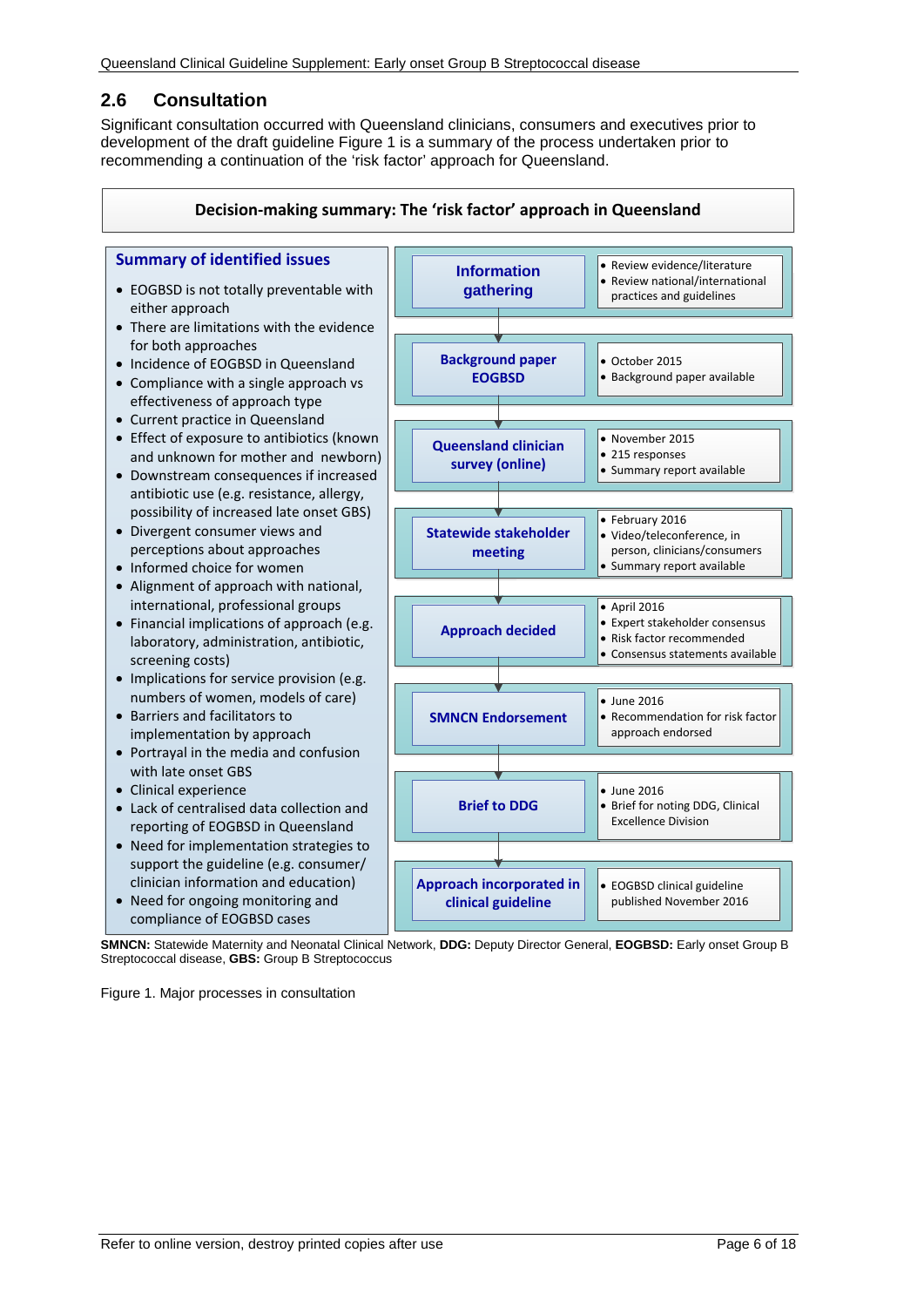# <span id="page-5-0"></span>**2.6 Consultation**

Significant consultation occurred with Queensland clinicians, consumers and executives prior to development of the draft guideline Figure 1 is a summary of the process undertaken prior to recommending a continuation of the 'risk factor' approach for Queensland.



**SMNCN:** Statewide Maternity and Neonatal Clinical Network, **DDG:** Deputy Director General, **EOGBSD:** Early onset Group B Streptococcal disease, **GBS:** Group B Streptococcus

<span id="page-5-1"></span>Figure 1. Major processes in consultation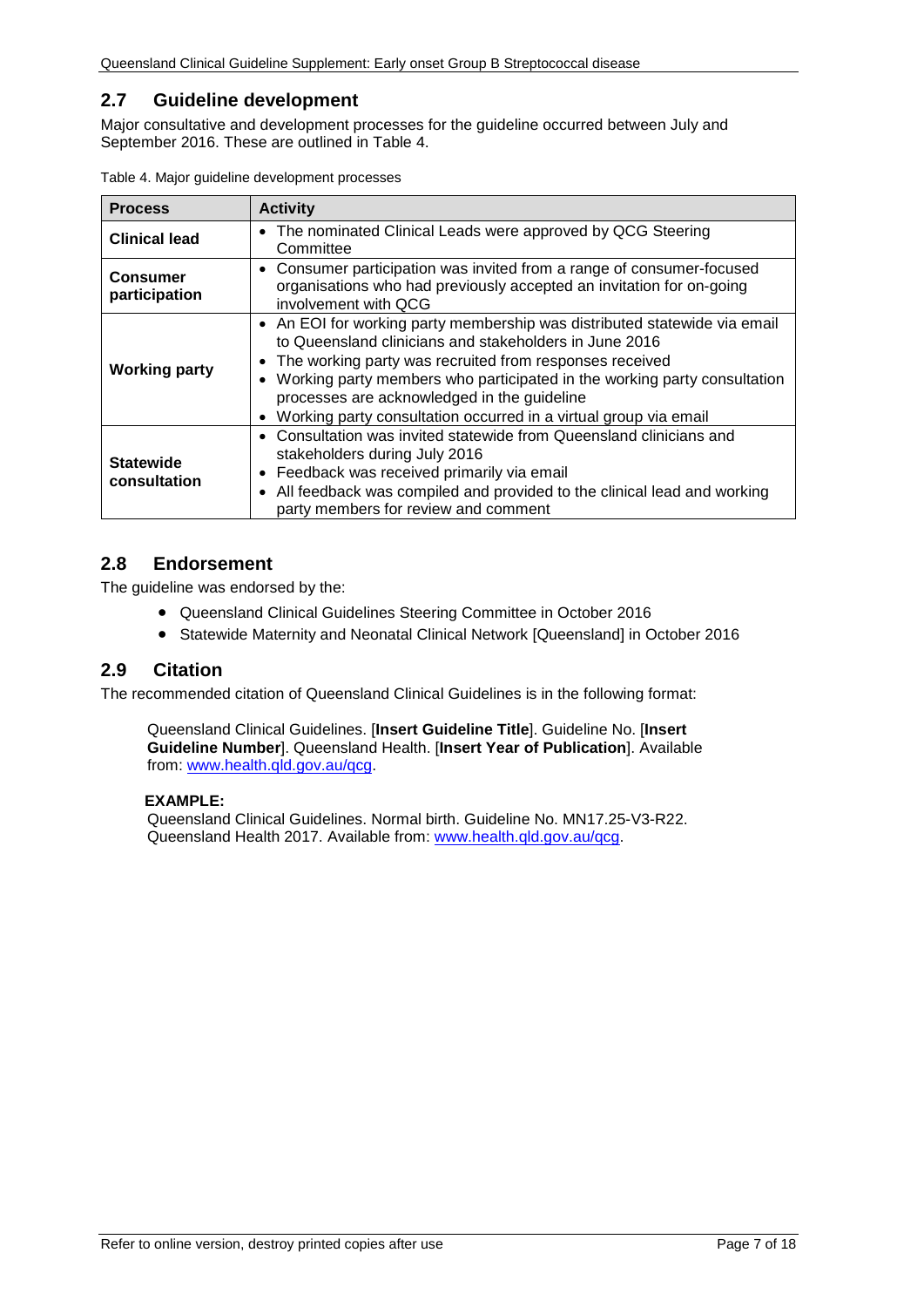## <span id="page-6-0"></span>**2.7 Guideline development**

Major consultative and development processes for the guideline occurred between July and September 2016. These are outlined in [Table 4.](#page-6-3)

| <b>Process</b>                                                                                                                                                                                            | <b>Activity</b>                                                                                                                                                                                                                                                                                                                                                                                              |  |
|-----------------------------------------------------------------------------------------------------------------------------------------------------------------------------------------------------------|--------------------------------------------------------------------------------------------------------------------------------------------------------------------------------------------------------------------------------------------------------------------------------------------------------------------------------------------------------------------------------------------------------------|--|
| • The nominated Clinical Leads were approved by QCG Steering<br><b>Clinical lead</b><br>Committee                                                                                                         |                                                                                                                                                                                                                                                                                                                                                                                                              |  |
| • Consumer participation was invited from a range of consumer-focused<br><b>Consumer</b><br>organisations who had previously accepted an invitation for on-going<br>participation<br>involvement with QCG |                                                                                                                                                                                                                                                                                                                                                                                                              |  |
| <b>Working party</b>                                                                                                                                                                                      | • An EOI for working party membership was distributed statewide via email<br>to Queensland clinicians and stakeholders in June 2016<br>The working party was recruited from responses received<br>• Working party members who participated in the working party consultation<br>processes are acknowledged in the guideline<br>Working party consultation occurred in a virtual group via email<br>$\bullet$ |  |
| <b>Statewide</b><br>consultation                                                                                                                                                                          | Consultation was invited statewide from Queensland clinicians and<br>$\bullet$<br>stakeholders during July 2016<br>Feedback was received primarily via email<br>All feedback was compiled and provided to the clinical lead and working<br>$\bullet$<br>party members for review and comment                                                                                                                 |  |

<span id="page-6-3"></span>

|  |  |  | Table 4. Major guideline development processes |  |
|--|--|--|------------------------------------------------|--|
|--|--|--|------------------------------------------------|--|

#### <span id="page-6-1"></span>**2.8 Endorsement**

The guideline was endorsed by the:

- Queensland Clinical Guidelines Steering Committee in October 2016
- Statewide Maternity and Neonatal Clinical Network [Queensland] in October 2016

#### <span id="page-6-2"></span>**2.9 Citation**

The recommended citation of Queensland Clinical Guidelines is in the following format:

Queensland Clinical Guidelines. [**Insert Guideline Title**]. Guideline No. [**Insert Guideline Number**]. Queensland Health. [**Insert Year of Publication**]. Available from: [www.health.qld.gov.au/qcg.](http://www.health.qld.gov.au/qcg)

#### **EXAMPLE:**

Queensland Clinical Guidelines. Normal birth. Guideline No. MN17.25-V3-R22. Queensland Health 2017. Available from: [www.health.qld.gov.au/qcg.](http://www.health.qld.gov.au/qcg)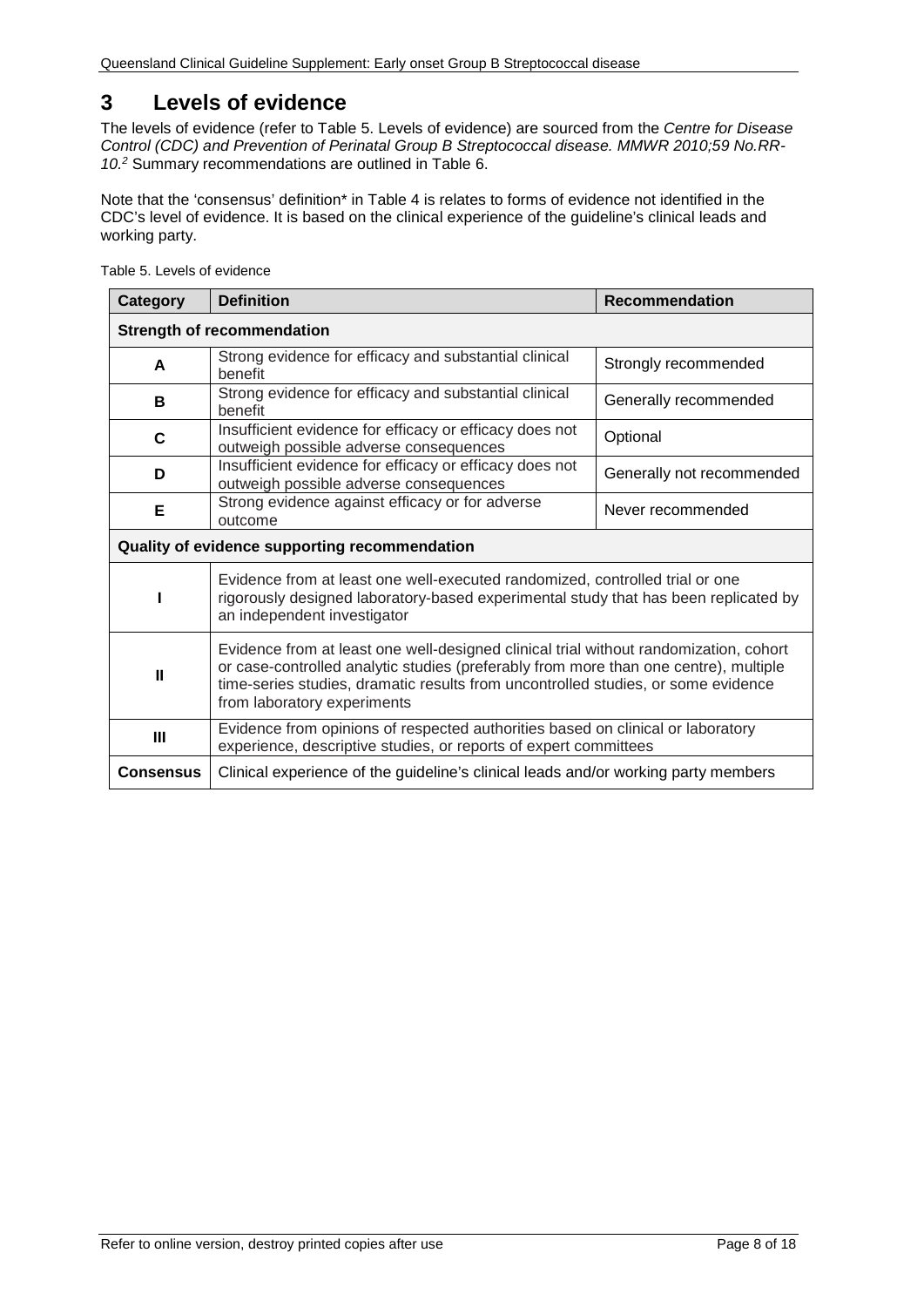# <span id="page-7-0"></span>**3 Levels of evidence**

The levels of evidence (refer to [Table 5. Levels of evidence\)](#page-7-1) are sourced from the *Centre for Disease Control (CDC) and Prevention of Perinatal Group B Streptococcal disease. MMWR 2010;59 No.RR-10.2* Summary recommendations are outlined in [Table 6.](#page-8-1)

Note that the 'consensus' definition\* in Table 4 is relates to forms of evidence not identified in the CDC's level of evidence. It is based on the clinical experience of the guideline's clinical leads and working party.

| Category                                      | <b>Definition</b>                                                                                                                                                                                                                                                                                 | <b>Recommendation</b>     |  |
|-----------------------------------------------|---------------------------------------------------------------------------------------------------------------------------------------------------------------------------------------------------------------------------------------------------------------------------------------------------|---------------------------|--|
| <b>Strength of recommendation</b>             |                                                                                                                                                                                                                                                                                                   |                           |  |
| A                                             | Strong evidence for efficacy and substantial clinical<br>benefit                                                                                                                                                                                                                                  | Strongly recommended      |  |
| в                                             | Strong evidence for efficacy and substantial clinical<br>benefit                                                                                                                                                                                                                                  | Generally recommended     |  |
| C                                             | Insufficient evidence for efficacy or efficacy does not<br>outweigh possible adverse consequences                                                                                                                                                                                                 | Optional                  |  |
| D                                             | Insufficient evidence for efficacy or efficacy does not<br>outweigh possible adverse consequences                                                                                                                                                                                                 | Generally not recommended |  |
| Е                                             | Strong evidence against efficacy or for adverse<br>Never recommended<br>outcome                                                                                                                                                                                                                   |                           |  |
| Quality of evidence supporting recommendation |                                                                                                                                                                                                                                                                                                   |                           |  |
|                                               | Evidence from at least one well-executed randomized, controlled trial or one<br>rigorously designed laboratory-based experimental study that has been replicated by<br>an independent investigator                                                                                                |                           |  |
| $\mathbf{u}$                                  | Evidence from at least one well-designed clinical trial without randomization, cohort<br>or case-controlled analytic studies (preferably from more than one centre), multiple<br>time-series studies, dramatic results from uncontrolled studies, or some evidence<br>from laboratory experiments |                           |  |
| $\mathbf{III}$                                | Evidence from opinions of respected authorities based on clinical or laboratory<br>experience, descriptive studies, or reports of expert committees                                                                                                                                               |                           |  |
| <b>Consensus</b>                              | Clinical experience of the guideline's clinical leads and/or working party members                                                                                                                                                                                                                |                           |  |

<span id="page-7-1"></span>Table 5. Levels of evidence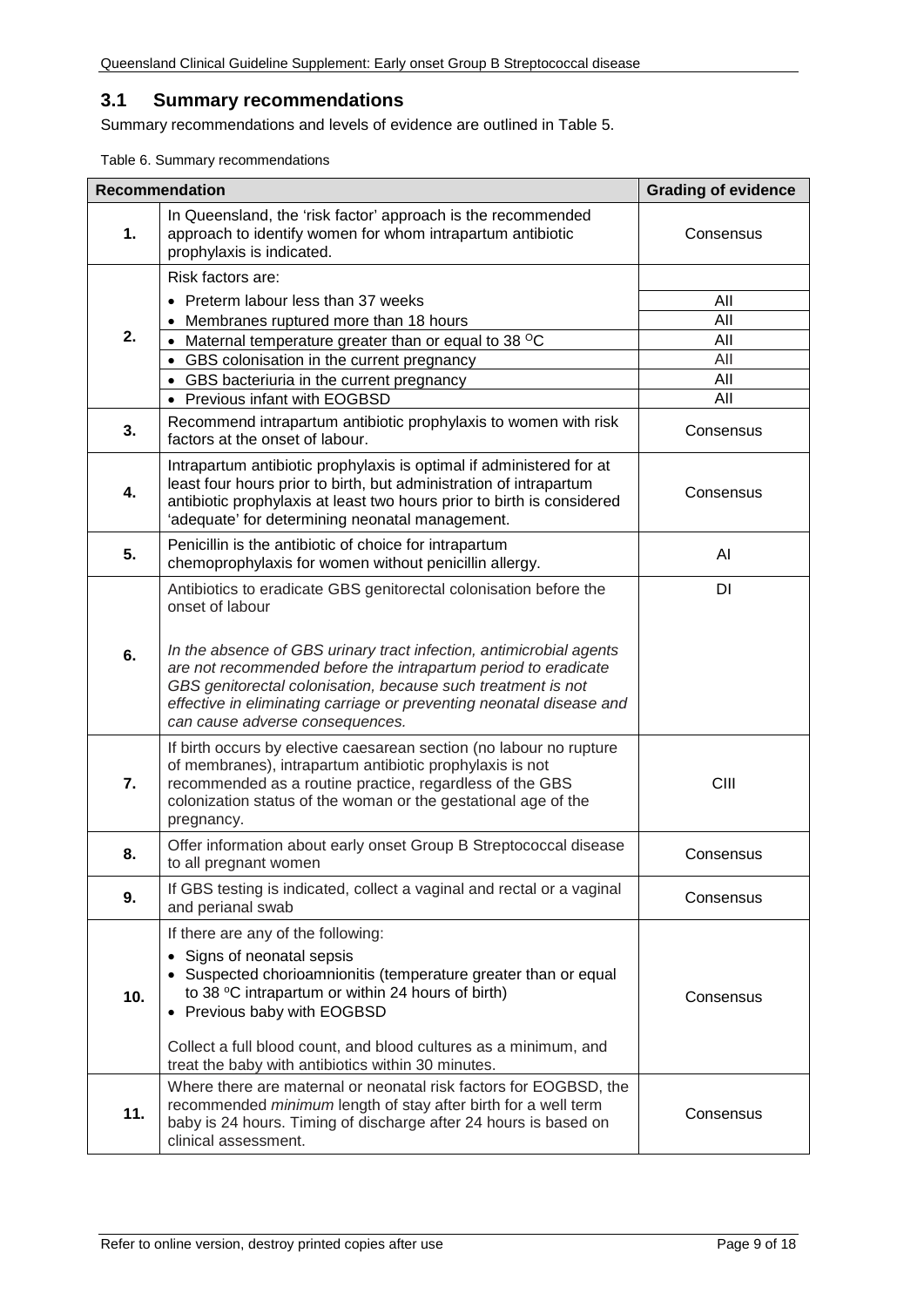#### <span id="page-8-0"></span>**3.1 Summary recommendations**

Summary recommendations and levels of evidence are outlined in Table 5.

<span id="page-8-1"></span>Table 6. Summary recommendations

|     | <b>Recommendation</b>                                                                                                                                                                                                                                                                                            | <b>Grading of evidence</b> |
|-----|------------------------------------------------------------------------------------------------------------------------------------------------------------------------------------------------------------------------------------------------------------------------------------------------------------------|----------------------------|
| 1.  | In Queensland, the 'risk factor' approach is the recommended<br>approach to identify women for whom intrapartum antibiotic<br>prophylaxis is indicated.                                                                                                                                                          | Consensus                  |
|     | Risk factors are:                                                                                                                                                                                                                                                                                                |                            |
|     | • Preterm labour less than 37 weeks                                                                                                                                                                                                                                                                              | All                        |
|     | Membranes ruptured more than 18 hours                                                                                                                                                                                                                                                                            | All                        |
| 2.  | Maternal temperature greater than or equal to 38 °C<br>$\bullet$                                                                                                                                                                                                                                                 | All                        |
|     | GBS colonisation in the current pregnancy<br>$\bullet$<br>• GBS bacteriuria in the current pregnancy                                                                                                                                                                                                             | All<br>All                 |
|     | • Previous infant with EOGBSD                                                                                                                                                                                                                                                                                    | All                        |
| 3.  | Recommend intrapartum antibiotic prophylaxis to women with risk<br>factors at the onset of labour.                                                                                                                                                                                                               | Consensus                  |
| 4.  | Intrapartum antibiotic prophylaxis is optimal if administered for at<br>least four hours prior to birth, but administration of intrapartum<br>antibiotic prophylaxis at least two hours prior to birth is considered<br>'adequate' for determining neonatal management.                                          | Consensus                  |
| 5.  | Penicillin is the antibiotic of choice for intrapartum<br>chemoprophylaxis for women without penicillin allergy.                                                                                                                                                                                                 | Al                         |
|     | Antibiotics to eradicate GBS genitorectal colonisation before the<br>onset of labour                                                                                                                                                                                                                             | DI                         |
| 6.  | In the absence of GBS urinary tract infection, antimicrobial agents<br>are not recommended before the intrapartum period to eradicate<br>GBS genitorectal colonisation, because such treatment is not<br>effective in eliminating carriage or preventing neonatal disease and<br>can cause adverse consequences. |                            |
| 7.  | If birth occurs by elective caesarean section (no labour no rupture<br>of membranes), intrapartum antibiotic prophylaxis is not<br>recommended as a routine practice, regardless of the GBS<br>colonization status of the woman or the gestational age of the<br>pregnancy.                                      | CIII                       |
| 8.  | Offer information about early onset Group B Streptococcal disease<br>to all pregnant women                                                                                                                                                                                                                       | Consensus                  |
| 9.  | If GBS testing is indicated, collect a vaginal and rectal or a vaginal<br>and perianal swab                                                                                                                                                                                                                      | Consensus                  |
|     | If there are any of the following:                                                                                                                                                                                                                                                                               |                            |
| 10. | • Signs of neonatal sepsis<br>• Suspected chorioamnionitis (temperature greater than or equal<br>to 38 °C intrapartum or within 24 hours of birth)<br>• Previous baby with EOGBSD                                                                                                                                | Consensus                  |
|     | Collect a full blood count, and blood cultures as a minimum, and<br>treat the baby with antibiotics within 30 minutes.                                                                                                                                                                                           |                            |
| 11. | Where there are maternal or neonatal risk factors for EOGBSD, the<br>recommended minimum length of stay after birth for a well term<br>baby is 24 hours. Timing of discharge after 24 hours is based on<br>clinical assessment.                                                                                  | Consensus                  |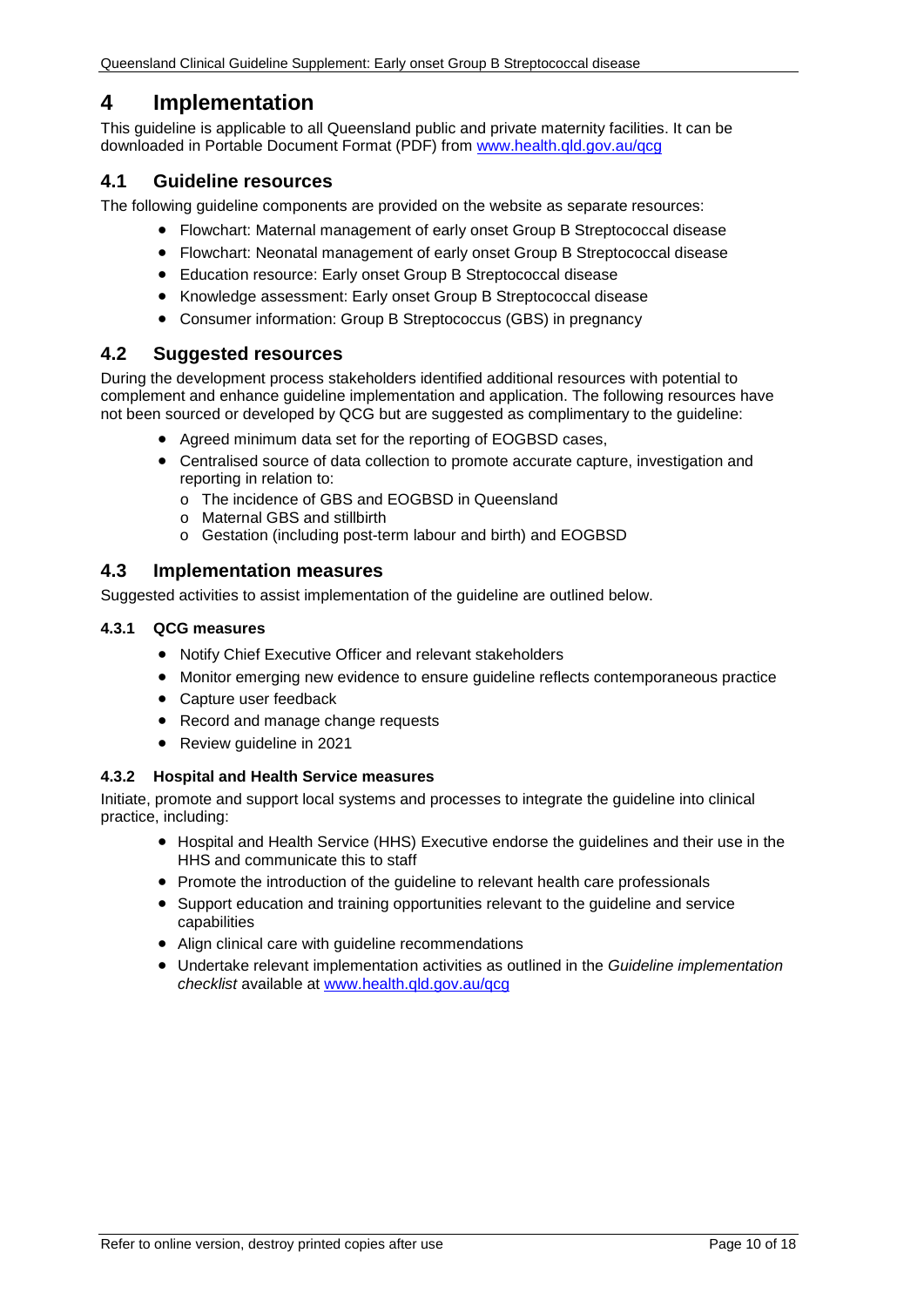# <span id="page-9-0"></span>**4 Implementation**

This guideline is applicable to all Queensland public and private maternity facilities. It can be downloaded in Portable Document Format (PDF) from [www.health.qld.gov.au/qcg](http://www.health.qld.gov.au/qcg)

## <span id="page-9-1"></span>**4.1 Guideline resources**

The following guideline components are provided on the website as separate resources:

- Flowchart: Maternal management of early onset Group B Streptococcal disease
- Flowchart: Neonatal management of early onset Group B Streptococcal disease
- Education resource: Early onset Group B Streptococcal disease
- Knowledge assessment: Early onset Group B Streptococcal disease
- Consumer information: Group B Streptococcus (GBS) in pregnancy

#### <span id="page-9-2"></span>**4.2 Suggested resources**

During the development process stakeholders identified additional resources with potential to complement and enhance guideline implementation and application. The following resources have not been sourced or developed by QCG but are suggested as complimentary to the guideline:

- Agreed minimum data set for the reporting of EOGBSD cases,
- Centralised source of data collection to promote accurate capture, investigation and reporting in relation to:
	- o The incidence of GBS and EOGBSD in Queensland
	- o Maternal GBS and stillbirth
	- o Gestation (including post-term labour and birth) and EOGBSD

#### <span id="page-9-3"></span>**4.3 Implementation measures**

Suggested activities to assist implementation of the guideline are outlined below.

#### <span id="page-9-4"></span>**4.3.1 QCG measures**

- Notify Chief Executive Officer and relevant stakeholders
- Monitor emerging new evidence to ensure guideline reflects contemporaneous practice
- Capture user feedback
- Record and manage change requests
- Review guideline in 2021

#### <span id="page-9-5"></span>**4.3.2 Hospital and Health Service measures**

Initiate, promote and support local systems and processes to integrate the guideline into clinical practice, including:

- Hospital and Health Service (HHS) Executive endorse the guidelines and their use in the HHS and communicate this to staff
- Promote the introduction of the guideline to relevant health care professionals
- Support education and training opportunities relevant to the guideline and service capabilities
- Align clinical care with guideline recommendations
- Undertake relevant implementation activities as outlined in the *Guideline implementation checklist* available at [www.health.qld.gov.au/qcg](http://www.health.qld.gov.au/qcg)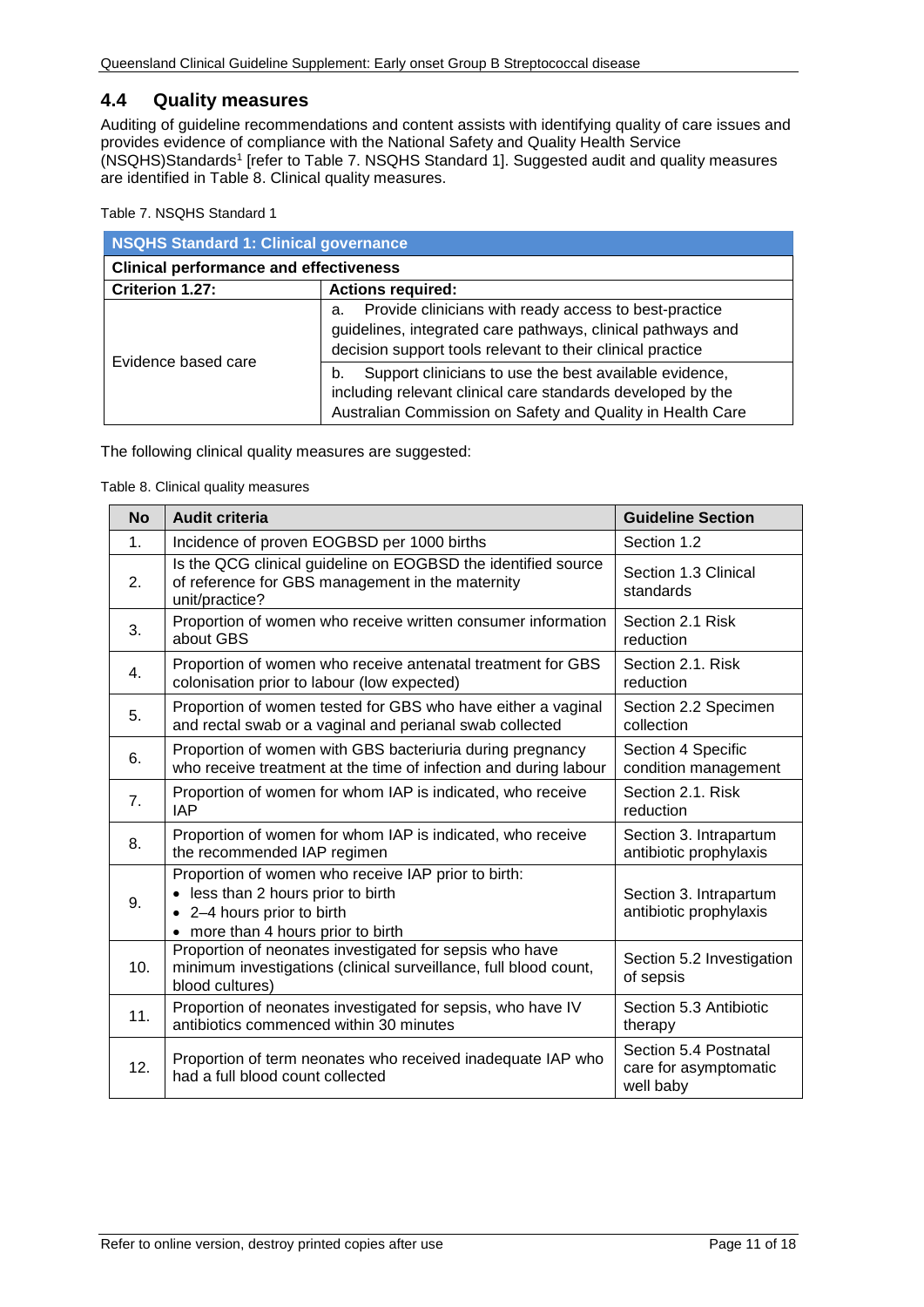## <span id="page-10-0"></span>**4.4 Quality measures**

Auditing of guideline recommendations and content assists with identifying quality of care issues and provides evidence of compliance with the National Safety and Quality Health Service (NSQHS)Standards1 [refer to [Table 7. NSQHS Standard 1\]](#page-10-1). Suggested audit and quality measures are identified in [Table 8. Clinical quality measures.](#page-10-2)

<span id="page-10-1"></span>Table 7. NSQHS Standard 1

| <b>NSQHS Standard 1: Clinical governance</b>  |                                                                                                                                                                                           |  |  |
|-----------------------------------------------|-------------------------------------------------------------------------------------------------------------------------------------------------------------------------------------------|--|--|
| <b>Clinical performance and effectiveness</b> |                                                                                                                                                                                           |  |  |
| Criterion 1.27:                               | <b>Actions required:</b>                                                                                                                                                                  |  |  |
|                                               | Provide clinicians with ready access to best-practice<br>a.<br>guidelines, integrated care pathways, clinical pathways and<br>decision support tools relevant to their clinical practice  |  |  |
| Evidence based care                           | Support clinicians to use the best available evidence,<br>b.<br>including relevant clinical care standards developed by the<br>Australian Commission on Safety and Quality in Health Care |  |  |

<span id="page-10-2"></span>The following clinical quality measures are suggested:

Table 8. Clinical quality measures

| <b>No</b>      | <b>Audit criteria</b>                                                                                                                                         | <b>Guideline Section</b>                                    |
|----------------|---------------------------------------------------------------------------------------------------------------------------------------------------------------|-------------------------------------------------------------|
| $\mathbf{1}$ . | Incidence of proven EOGBSD per 1000 births                                                                                                                    | Section 1.2                                                 |
| 2.             | Is the QCG clinical guideline on EOGBSD the identified source<br>of reference for GBS management in the maternity<br>unit/practice?                           | Section 1.3 Clinical<br>standards                           |
| 3.             | Proportion of women who receive written consumer information<br>about GBS                                                                                     | Section 2.1 Risk<br>reduction                               |
| 4.             | Proportion of women who receive antenatal treatment for GBS<br>colonisation prior to labour (low expected)                                                    | Section 2.1. Risk<br>reduction                              |
| 5.             | Proportion of women tested for GBS who have either a vaginal<br>and rectal swab or a vaginal and perianal swab collected                                      | Section 2.2 Specimen<br>collection                          |
| 6.             | Proportion of women with GBS bacteriuria during pregnancy<br>who receive treatment at the time of infection and during labour                                 | Section 4 Specific<br>condition management                  |
| 7.             | Proportion of women for whom IAP is indicated, who receive<br><b>IAP</b>                                                                                      | Section 2.1. Risk<br>reduction                              |
| 8.             | Proportion of women for whom IAP is indicated, who receive<br>the recommended IAP regimen                                                                     | Section 3. Intrapartum<br>antibiotic prophylaxis            |
| 9.             | Proportion of women who receive IAP prior to birth:<br>• less than 2 hours prior to birth<br>• 2-4 hours prior to birth<br>• more than 4 hours prior to birth | Section 3. Intrapartum<br>antibiotic prophylaxis            |
| 10.            | Proportion of neonates investigated for sepsis who have<br>minimum investigations (clinical surveillance, full blood count,<br>blood cultures)                | Section 5.2 Investigation<br>of sepsis                      |
| 11.            | Proportion of neonates investigated for sepsis, who have IV<br>antibiotics commenced within 30 minutes                                                        | Section 5.3 Antibiotic<br>therapy                           |
| 12.            | Proportion of term neonates who received inadequate IAP who<br>had a full blood count collected                                                               | Section 5.4 Postnatal<br>care for asymptomatic<br>well baby |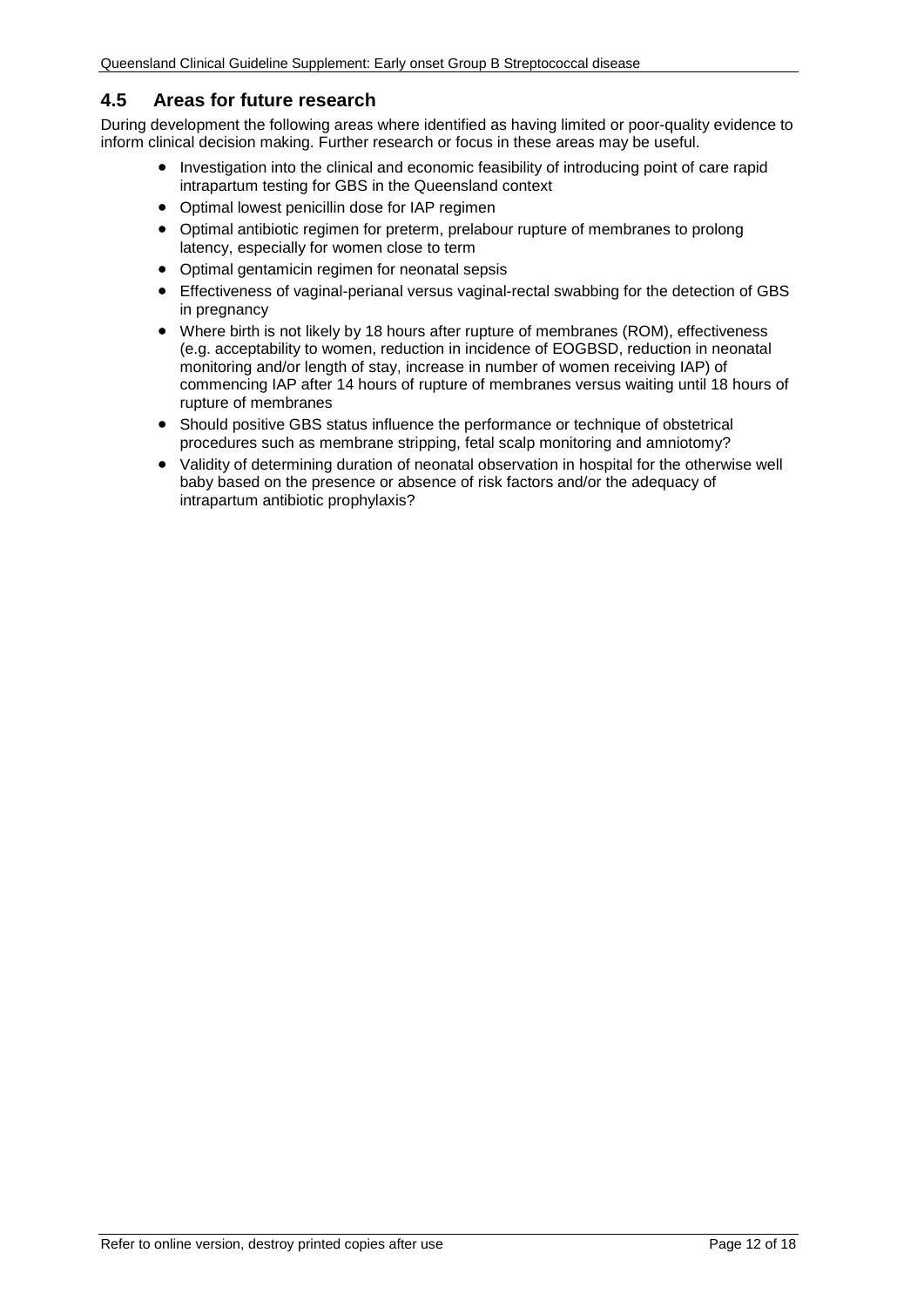## <span id="page-11-0"></span>**4.5 Areas for future research**

During development the following areas where identified as having limited or poor-quality evidence to inform clinical decision making. Further research or focus in these areas may be useful.

- Investigation into the clinical and economic feasibility of introducing point of care rapid intrapartum testing for GBS in the Queensland context
- Optimal lowest penicillin dose for IAP regimen
- Optimal antibiotic regimen for preterm, prelabour rupture of membranes to prolong latency, especially for women close to term
- Optimal gentamicin regimen for neonatal sepsis
- Effectiveness of vaginal-perianal versus vaginal-rectal swabbing for the detection of GBS in pregnancy
- Where birth is not likely by 18 hours after rupture of membranes (ROM), effectiveness (e.g. acceptability to women, reduction in incidence of EOGBSD, reduction in neonatal monitoring and/or length of stay, increase in number of women receiving IAP) of commencing IAP after 14 hours of rupture of membranes versus waiting until 18 hours of rupture of membranes
- Should positive GBS status influence the performance or technique of obstetrical procedures such as membrane stripping, fetal scalp monitoring and amniotomy?
- Validity of determining duration of neonatal observation in hospital for the otherwise well baby based on the presence or absence of risk factors and/or the adequacy of intrapartum antibiotic prophylaxis?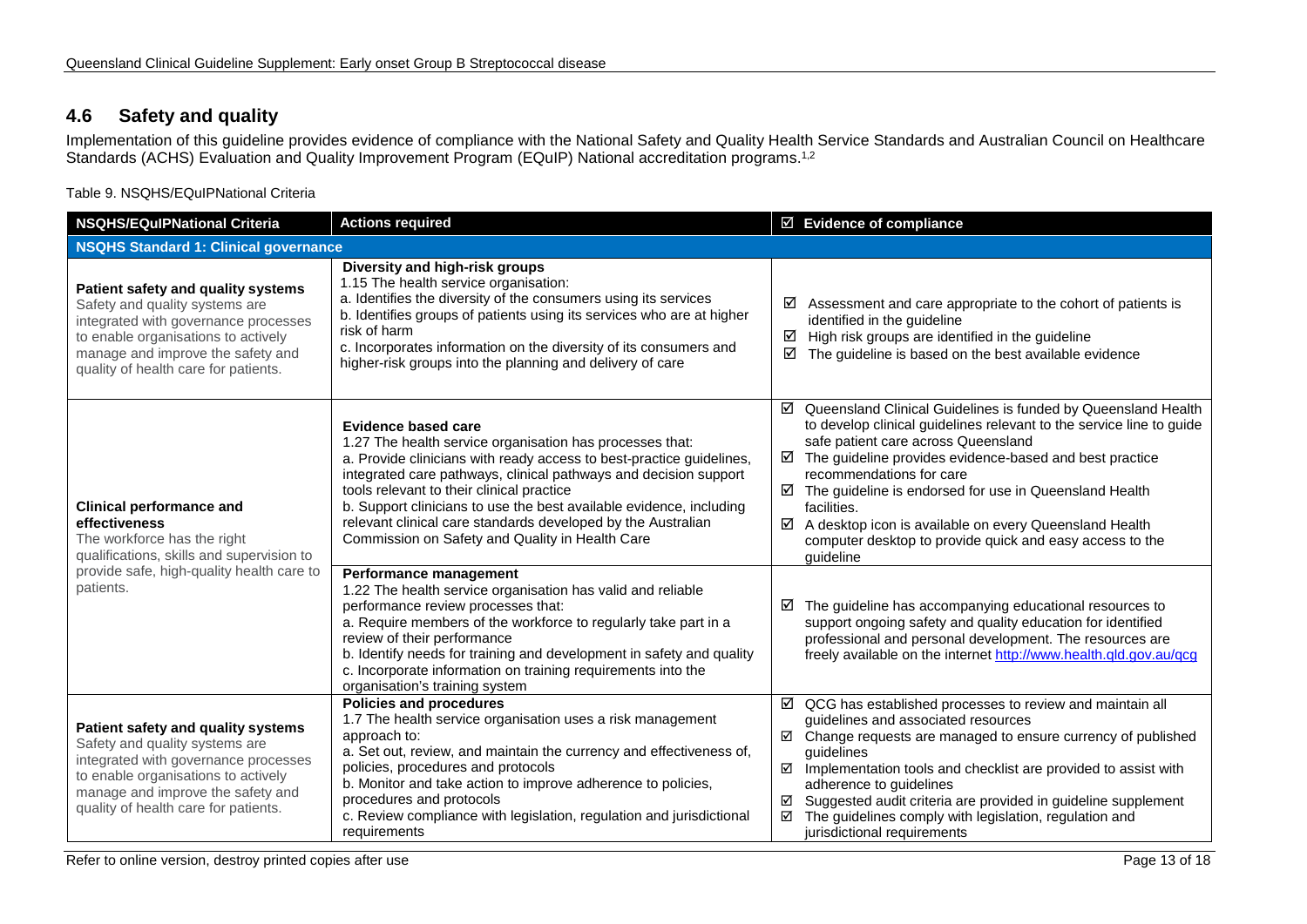# **4.6 Safety and quality**

Implementation of this guideline provides evidence of compliance with the National Safety and Quality Health Service Standards and Australian Council on Healthcare Standards (ACHS) Evaluation and Quality Improvement Program (EQuIP) National accreditation programs.<sup>1,2</sup>

Table 9. NSQHS/EQuIPNational Criteria

<span id="page-12-1"></span><span id="page-12-0"></span>

| <b>Actions required</b><br><b>NSQHS/EQuIPNational Criteria</b>                                                                                                                                                                   |                                                                                                                                                                                                                                                                                                                                                                                                                                                                           | ☑ Evidence of compliance                                                                                                                                                                                                                                                                                                                                                                                                                                                                             |  |  |
|----------------------------------------------------------------------------------------------------------------------------------------------------------------------------------------------------------------------------------|---------------------------------------------------------------------------------------------------------------------------------------------------------------------------------------------------------------------------------------------------------------------------------------------------------------------------------------------------------------------------------------------------------------------------------------------------------------------------|------------------------------------------------------------------------------------------------------------------------------------------------------------------------------------------------------------------------------------------------------------------------------------------------------------------------------------------------------------------------------------------------------------------------------------------------------------------------------------------------------|--|--|
| <b>NSQHS Standard 1: Clinical governance</b>                                                                                                                                                                                     |                                                                                                                                                                                                                                                                                                                                                                                                                                                                           |                                                                                                                                                                                                                                                                                                                                                                                                                                                                                                      |  |  |
| Patient safety and quality systems<br>Safety and quality systems are<br>integrated with governance processes<br>to enable organisations to actively<br>manage and improve the safety and<br>quality of health care for patients. | Diversity and high-risk groups<br>1.15 The health service organisation:<br>a. Identifies the diversity of the consumers using its services<br>b. Identifies groups of patients using its services who are at higher<br>risk of harm<br>c. Incorporates information on the diversity of its consumers and<br>higher-risk groups into the planning and delivery of care                                                                                                     | ☑<br>Assessment and care appropriate to the cohort of patients is<br>identified in the guideline<br>High risk groups are identified in the guideline<br>☑<br>☑<br>The guideline is based on the best available evidence                                                                                                                                                                                                                                                                              |  |  |
| <b>Clinical performance and</b><br>effectiveness<br>The workforce has the right<br>qualifications, skills and supervision to                                                                                                     | <b>Evidence based care</b><br>1.27 The health service organisation has processes that:<br>a. Provide clinicians with ready access to best-practice guidelines,<br>integrated care pathways, clinical pathways and decision support<br>tools relevant to their clinical practice<br>b. Support clinicians to use the best available evidence, including<br>relevant clinical care standards developed by the Australian<br>Commission on Safety and Quality in Health Care | ☑ Queensland Clinical Guidelines is funded by Queensland Health<br>to develop clinical guidelines relevant to the service line to guide<br>safe patient care across Queensland<br>The guideline provides evidence-based and best practice<br>☑<br>recommendations for care<br>$\boxtimes$ The guideline is endorsed for use in Queensland Health<br>facilities.<br>☑ A desktop icon is available on every Queensland Health<br>computer desktop to provide quick and easy access to the<br>quideline |  |  |
| provide safe, high-quality health care to<br>patients.                                                                                                                                                                           | Performance management<br>1.22 The health service organisation has valid and reliable<br>performance review processes that:<br>a. Require members of the workforce to regularly take part in a<br>review of their performance<br>b. Identify needs for training and development in safety and quality<br>c. Incorporate information on training requirements into the<br>organisation's training system                                                                   | The guideline has accompanying educational resources to<br>☑<br>support ongoing safety and quality education for identified<br>professional and personal development. The resources are<br>freely available on the internet http://www.health.qld.gov.au/qcg                                                                                                                                                                                                                                         |  |  |
| Patient safety and quality systems<br>Safety and quality systems are<br>integrated with governance processes<br>to enable organisations to actively<br>manage and improve the safety and<br>quality of health care for patients. | <b>Policies and procedures</b><br>1.7 The health service organisation uses a risk management<br>approach to:<br>a. Set out, review, and maintain the currency and effectiveness of,<br>policies, procedures and protocols<br>b. Monitor and take action to improve adherence to policies,<br>procedures and protocols<br>c. Review compliance with legislation, regulation and jurisdictional<br>requirements                                                             | $\boxtimes$ QCG has established processes to review and maintain all<br>guidelines and associated resources<br>$\boxtimes$ Change requests are managed to ensure currency of published<br>quidelines<br>Implementation tools and checklist are provided to assist with<br>☑<br>adherence to guidelines<br>Suggested audit criteria are provided in guideline supplement<br>☑<br>The guidelines comply with legislation, regulation and<br>☑<br>jurisdictional requirements                           |  |  |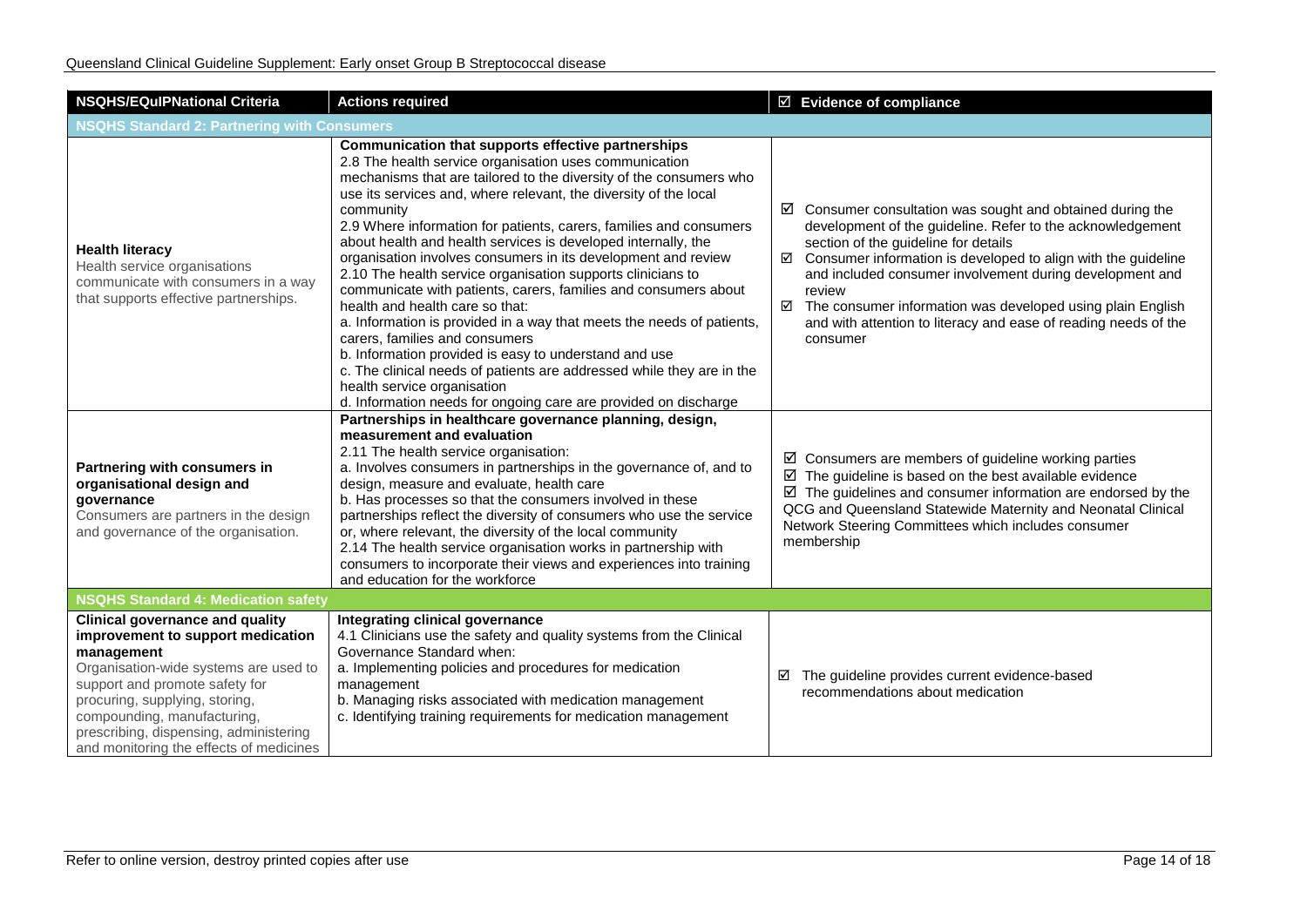| <b>NSQHS/EQulPNational Criteria</b>                                                                                                                                                                                                                                                                                        | <b>Actions required</b>                                                                                                                                                                                                                                                                                                                                                                                                                                                                                                                                                                                                                                                                                                                                                                                                                                                                                                                                                                         | $\overline{\boxtimes}$ Evidence of compliance                                                                                                                                                                                                                                                                                                                                                                                                                                          |  |  |
|----------------------------------------------------------------------------------------------------------------------------------------------------------------------------------------------------------------------------------------------------------------------------------------------------------------------------|-------------------------------------------------------------------------------------------------------------------------------------------------------------------------------------------------------------------------------------------------------------------------------------------------------------------------------------------------------------------------------------------------------------------------------------------------------------------------------------------------------------------------------------------------------------------------------------------------------------------------------------------------------------------------------------------------------------------------------------------------------------------------------------------------------------------------------------------------------------------------------------------------------------------------------------------------------------------------------------------------|----------------------------------------------------------------------------------------------------------------------------------------------------------------------------------------------------------------------------------------------------------------------------------------------------------------------------------------------------------------------------------------------------------------------------------------------------------------------------------------|--|--|
| <b>NSQHS Standard 2: Partnering with Consumers</b>                                                                                                                                                                                                                                                                         |                                                                                                                                                                                                                                                                                                                                                                                                                                                                                                                                                                                                                                                                                                                                                                                                                                                                                                                                                                                                 |                                                                                                                                                                                                                                                                                                                                                                                                                                                                                        |  |  |
| <b>Health literacy</b><br>Health service organisations<br>communicate with consumers in a way<br>that supports effective partnerships.                                                                                                                                                                                     | Communication that supports effective partnerships<br>2.8 The health service organisation uses communication<br>mechanisms that are tailored to the diversity of the consumers who<br>use its services and, where relevant, the diversity of the local<br>community<br>2.9 Where information for patients, carers, families and consumers<br>about health and health services is developed internally, the<br>organisation involves consumers in its development and review<br>2.10 The health service organisation supports clinicians to<br>communicate with patients, carers, families and consumers about<br>health and health care so that:<br>a. Information is provided in a way that meets the needs of patients,<br>carers, families and consumers<br>b. Information provided is easy to understand and use<br>c. The clinical needs of patients are addressed while they are in the<br>health service organisation<br>d. Information needs for ongoing care are provided on discharge | $\boxtimes$ Consumer consultation was sought and obtained during the<br>development of the guideline. Refer to the acknowledgement<br>section of the guideline for details<br>$\boxtimes$ Consumer information is developed to align with the guideline<br>and included consumer involvement during development and<br>review<br>$\boxtimes$ The consumer information was developed using plain English<br>and with attention to literacy and ease of reading needs of the<br>consumer |  |  |
| Partnering with consumers in<br>organisational design and<br>governance<br>Consumers are partners in the design<br>and governance of the organisation.                                                                                                                                                                     | Partnerships in healthcare governance planning, design,<br>measurement and evaluation<br>2.11 The health service organisation:<br>a. Involves consumers in partnerships in the governance of, and to<br>design, measure and evaluate, health care<br>b. Has processes so that the consumers involved in these<br>partnerships reflect the diversity of consumers who use the service<br>or, where relevant, the diversity of the local community<br>2.14 The health service organisation works in partnership with<br>consumers to incorporate their views and experiences into training<br>and education for the workforce                                                                                                                                                                                                                                                                                                                                                                     | $\boxtimes$ Consumers are members of guideline working parties<br>$\boxtimes$ The guideline is based on the best available evidence<br>$\boxtimes$ The guidelines and consumer information are endorsed by the<br>QCG and Queensland Statewide Maternity and Neonatal Clinical<br>Network Steering Committees which includes consumer<br>membership                                                                                                                                    |  |  |
| <b>NSQHS Standard 4: Medication safety</b>                                                                                                                                                                                                                                                                                 |                                                                                                                                                                                                                                                                                                                                                                                                                                                                                                                                                                                                                                                                                                                                                                                                                                                                                                                                                                                                 |                                                                                                                                                                                                                                                                                                                                                                                                                                                                                        |  |  |
| <b>Clinical governance and quality</b><br>improvement to support medication<br>management<br>Organisation-wide systems are used to<br>support and promote safety for<br>procuring, supplying, storing,<br>compounding, manufacturing,<br>prescribing, dispensing, administering<br>and monitoring the effects of medicines | Integrating clinical governance<br>4.1 Clinicians use the safety and quality systems from the Clinical<br>Governance Standard when:<br>a. Implementing policies and procedures for medication<br>management<br>b. Managing risks associated with medication management<br>c. Identifying training requirements for medication management                                                                                                                                                                                                                                                                                                                                                                                                                                                                                                                                                                                                                                                        | The guideline provides current evidence-based<br>☑<br>recommendations about medication                                                                                                                                                                                                                                                                                                                                                                                                 |  |  |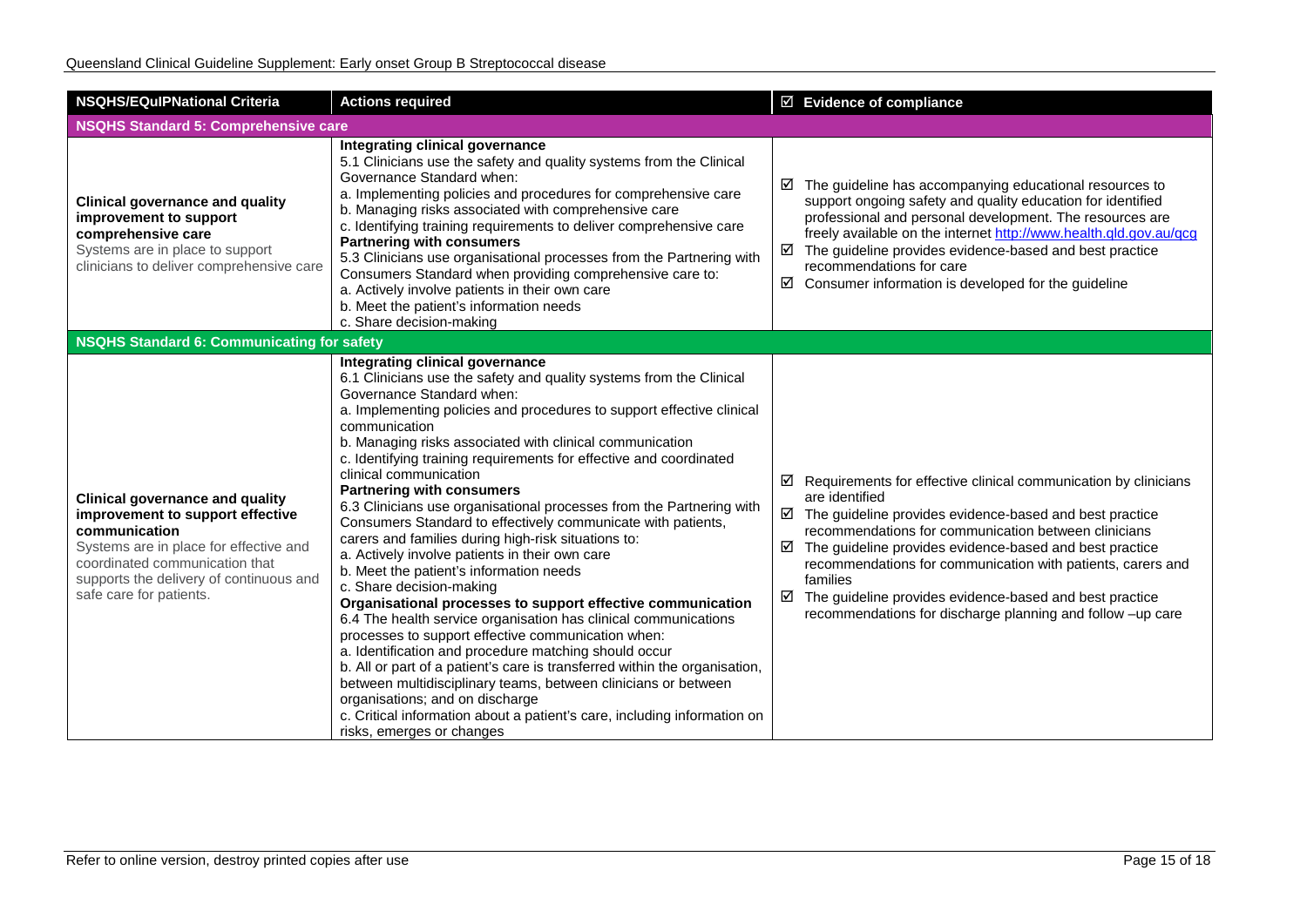| <b>NSQHS/EQuIPNational Criteria</b>                                                                                                                                                                                                           | <b>Actions required</b>                                                                                                                                                                                                                                                                                                                                                                                                                                                                                                                                                                                                                                                                                                                                                                                                                                                                                                                                                                                                                                                                                                                                                                                                                                                                            | $\boxtimes$ Evidence of compliance                                                                                                                                                                                                                                                                                                                                                                                                                                                                    |
|-----------------------------------------------------------------------------------------------------------------------------------------------------------------------------------------------------------------------------------------------|----------------------------------------------------------------------------------------------------------------------------------------------------------------------------------------------------------------------------------------------------------------------------------------------------------------------------------------------------------------------------------------------------------------------------------------------------------------------------------------------------------------------------------------------------------------------------------------------------------------------------------------------------------------------------------------------------------------------------------------------------------------------------------------------------------------------------------------------------------------------------------------------------------------------------------------------------------------------------------------------------------------------------------------------------------------------------------------------------------------------------------------------------------------------------------------------------------------------------------------------------------------------------------------------------|-------------------------------------------------------------------------------------------------------------------------------------------------------------------------------------------------------------------------------------------------------------------------------------------------------------------------------------------------------------------------------------------------------------------------------------------------------------------------------------------------------|
| <b>NSQHS Standard 5: Comprehensive care</b>                                                                                                                                                                                                   |                                                                                                                                                                                                                                                                                                                                                                                                                                                                                                                                                                                                                                                                                                                                                                                                                                                                                                                                                                                                                                                                                                                                                                                                                                                                                                    |                                                                                                                                                                                                                                                                                                                                                                                                                                                                                                       |
| <b>Clinical governance and quality</b><br>improvement to support<br>comprehensive care<br>Systems are in place to support<br>clinicians to deliver comprehensive care                                                                         | Integrating clinical governance<br>5.1 Clinicians use the safety and quality systems from the Clinical<br>Governance Standard when:<br>a. Implementing policies and procedures for comprehensive care<br>b. Managing risks associated with comprehensive care<br>c. Identifying training requirements to deliver comprehensive care<br><b>Partnering with consumers</b><br>5.3 Clinicians use organisational processes from the Partnering with<br>Consumers Standard when providing comprehensive care to:<br>a. Actively involve patients in their own care<br>b. Meet the patient's information needs<br>c. Share decision-making                                                                                                                                                                                                                                                                                                                                                                                                                                                                                                                                                                                                                                                               | $\boxtimes$ The guideline has accompanying educational resources to<br>support ongoing safety and quality education for identified<br>professional and personal development. The resources are<br>freely available on the internet http://www.health.qld.gov.au/qcg<br>$\boxtimes$ The guideline provides evidence-based and best practice<br>recommendations for care<br>☑<br>Consumer information is developed for the guideline                                                                    |
| <b>NSQHS Standard 6: Communicating for safety</b>                                                                                                                                                                                             |                                                                                                                                                                                                                                                                                                                                                                                                                                                                                                                                                                                                                                                                                                                                                                                                                                                                                                                                                                                                                                                                                                                                                                                                                                                                                                    |                                                                                                                                                                                                                                                                                                                                                                                                                                                                                                       |
| <b>Clinical governance and quality</b><br>improvement to support effective<br>communication<br>Systems are in place for effective and<br>coordinated communication that<br>supports the delivery of continuous and<br>safe care for patients. | Integrating clinical governance<br>6.1 Clinicians use the safety and quality systems from the Clinical<br>Governance Standard when:<br>a. Implementing policies and procedures to support effective clinical<br>communication<br>b. Managing risks associated with clinical communication<br>c. Identifying training requirements for effective and coordinated<br>clinical communication<br><b>Partnering with consumers</b><br>6.3 Clinicians use organisational processes from the Partnering with<br>Consumers Standard to effectively communicate with patients,<br>carers and families during high-risk situations to:<br>a. Actively involve patients in their own care<br>b. Meet the patient's information needs<br>c. Share decision-making<br>Organisational processes to support effective communication<br>6.4 The health service organisation has clinical communications<br>processes to support effective communication when:<br>a. Identification and procedure matching should occur<br>b. All or part of a patient's care is transferred within the organisation,<br>between multidisciplinary teams, between clinicians or between<br>organisations; and on discharge<br>c. Critical information about a patient's care, including information on<br>risks, emerges or changes | $\boxtimes$ Requirements for effective clinical communication by clinicians<br>are identified<br>$\boxtimes$ The guideline provides evidence-based and best practice<br>recommendations for communication between clinicians<br>The guideline provides evidence-based and best practice<br>☑<br>recommendations for communication with patients, carers and<br>families<br>The guideline provides evidence-based and best practice<br>☑<br>recommendations for discharge planning and follow -up care |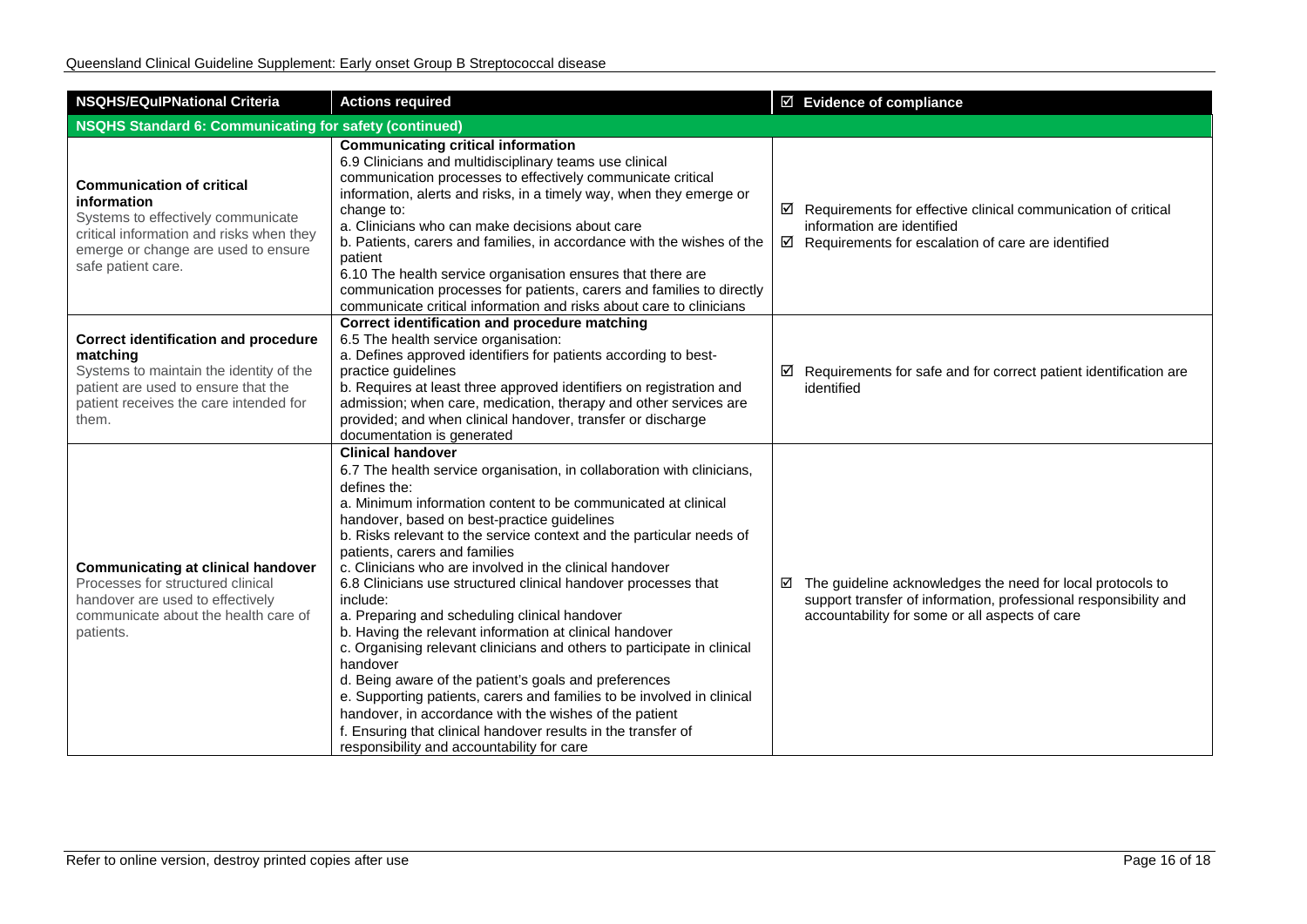| <b>NSQHS/EQulPNational Criteria</b>                                                                                                                                                            | <b>Actions required</b>                                                                                                                                                                                                                                                                                                                                                                                                                                                                                                                                                                                                                                                                                                                                                                                                                                                                                                                                                                             | $\boxtimes$ Evidence of compliance                                                                                                                                                 |  |
|------------------------------------------------------------------------------------------------------------------------------------------------------------------------------------------------|-----------------------------------------------------------------------------------------------------------------------------------------------------------------------------------------------------------------------------------------------------------------------------------------------------------------------------------------------------------------------------------------------------------------------------------------------------------------------------------------------------------------------------------------------------------------------------------------------------------------------------------------------------------------------------------------------------------------------------------------------------------------------------------------------------------------------------------------------------------------------------------------------------------------------------------------------------------------------------------------------------|------------------------------------------------------------------------------------------------------------------------------------------------------------------------------------|--|
| <b>NSQHS Standard 6: Communicating for safety (continued)</b>                                                                                                                                  |                                                                                                                                                                                                                                                                                                                                                                                                                                                                                                                                                                                                                                                                                                                                                                                                                                                                                                                                                                                                     |                                                                                                                                                                                    |  |
| <b>Communication of critical</b><br>information<br>Systems to effectively communicate<br>critical information and risks when they<br>emerge or change are used to ensure<br>safe patient care. | <b>Communicating critical information</b><br>6.9 Clinicians and multidisciplinary teams use clinical<br>communication processes to effectively communicate critical<br>information, alerts and risks, in a timely way, when they emerge or<br>change to:<br>a. Clinicians who can make decisions about care<br>b. Patients, carers and families, in accordance with the wishes of the<br>patient<br>6.10 The health service organisation ensures that there are<br>communication processes for patients, carers and families to directly<br>communicate critical information and risks about care to clinicians                                                                                                                                                                                                                                                                                                                                                                                     | $\boxtimes$ Requirements for effective clinical communication of critical<br>information are identified<br>$\boxtimes$ Requirements for escalation of care are identified          |  |
| <b>Correct identification and procedure</b><br>matching<br>Systems to maintain the identity of the<br>patient are used to ensure that the<br>patient receives the care intended for<br>them.   | Correct identification and procedure matching<br>6.5 The health service organisation:<br>a. Defines approved identifiers for patients according to best-<br>practice guidelines<br>b. Requires at least three approved identifiers on registration and<br>admission; when care, medication, therapy and other services are<br>provided; and when clinical handover, transfer or discharge<br>documentation is generated                                                                                                                                                                                                                                                                                                                                                                                                                                                                                                                                                                             | $\boxtimes$ Requirements for safe and for correct patient identification are<br>identified                                                                                         |  |
| <b>Communicating at clinical handover</b><br>Processes for structured clinical<br>handover are used to effectively<br>communicate about the health care of<br>patients.                        | <b>Clinical handover</b><br>6.7 The health service organisation, in collaboration with clinicians,<br>defines the:<br>a. Minimum information content to be communicated at clinical<br>handover, based on best-practice guidelines<br>b. Risks relevant to the service context and the particular needs of<br>patients, carers and families<br>c. Clinicians who are involved in the clinical handover<br>6.8 Clinicians use structured clinical handover processes that<br>include:<br>a. Preparing and scheduling clinical handover<br>b. Having the relevant information at clinical handover<br>c. Organising relevant clinicians and others to participate in clinical<br>handover<br>d. Being aware of the patient's goals and preferences<br>e. Supporting patients, carers and families to be involved in clinical<br>handover, in accordance with the wishes of the patient<br>f. Ensuring that clinical handover results in the transfer of<br>responsibility and accountability for care | ☑ The guideline acknowledges the need for local protocols to<br>support transfer of information, professional responsibility and<br>accountability for some or all aspects of care |  |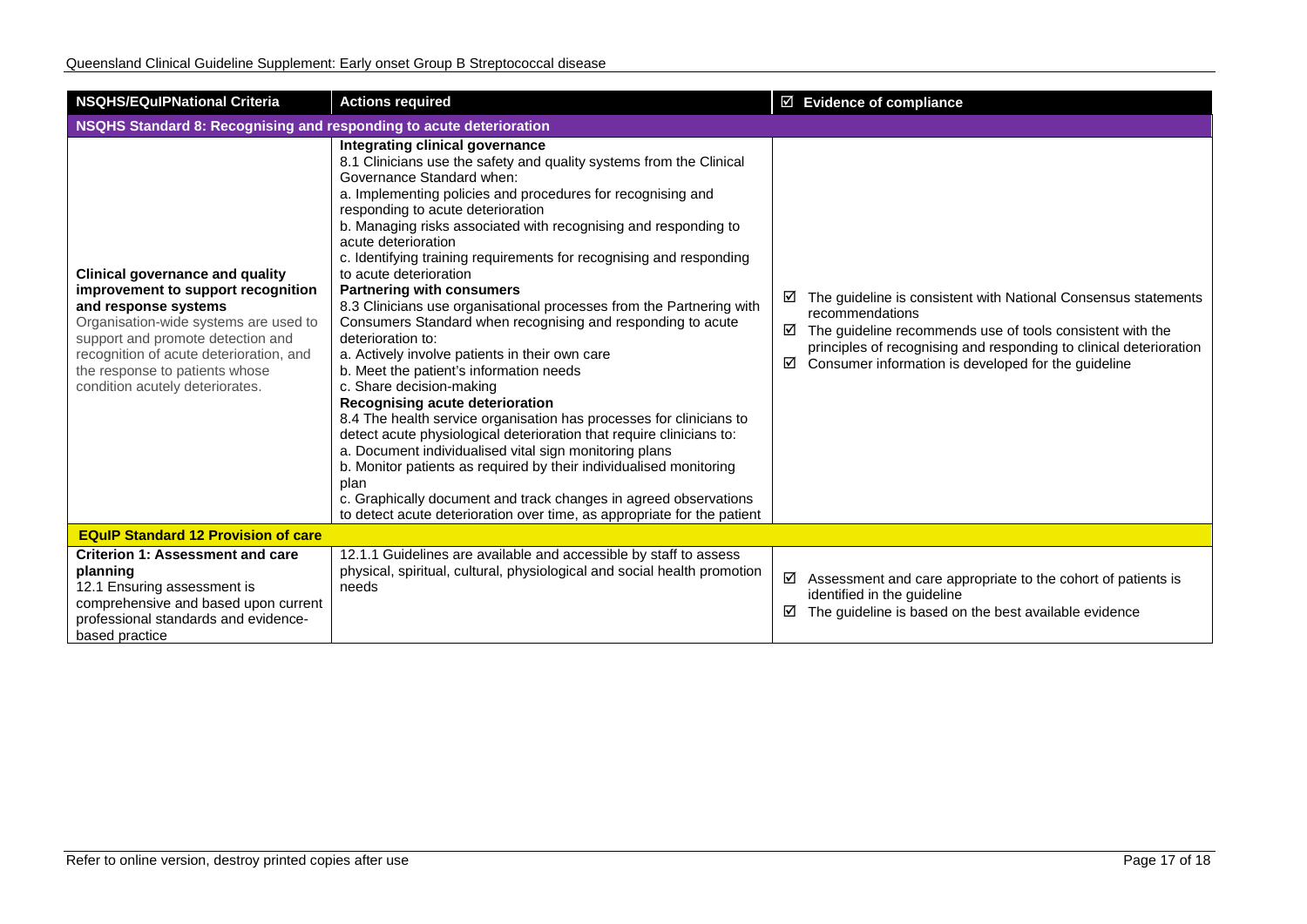| <b>NSQHS/EQuIPNational Criteria</b>                                                                                                                                                                                                                                                                | <b>Actions required</b>                                                                                                                                                                                                                                                                                                                                                                                                                                                                                                                                                                                                                                                                                                                                                                                                                                                                                                                                                                                                                                                                                                                                                                                                              | $\boxtimes$ Evidence of compliance                                                                                                                                                                                                                                                         |  |  |
|----------------------------------------------------------------------------------------------------------------------------------------------------------------------------------------------------------------------------------------------------------------------------------------------------|--------------------------------------------------------------------------------------------------------------------------------------------------------------------------------------------------------------------------------------------------------------------------------------------------------------------------------------------------------------------------------------------------------------------------------------------------------------------------------------------------------------------------------------------------------------------------------------------------------------------------------------------------------------------------------------------------------------------------------------------------------------------------------------------------------------------------------------------------------------------------------------------------------------------------------------------------------------------------------------------------------------------------------------------------------------------------------------------------------------------------------------------------------------------------------------------------------------------------------------|--------------------------------------------------------------------------------------------------------------------------------------------------------------------------------------------------------------------------------------------------------------------------------------------|--|--|
| NSQHS Standard 8: Recognising and responding to acute deterioration                                                                                                                                                                                                                                |                                                                                                                                                                                                                                                                                                                                                                                                                                                                                                                                                                                                                                                                                                                                                                                                                                                                                                                                                                                                                                                                                                                                                                                                                                      |                                                                                                                                                                                                                                                                                            |  |  |
| <b>Clinical governance and quality</b><br>improvement to support recognition<br>and response systems<br>Organisation-wide systems are used to<br>support and promote detection and<br>recognition of acute deterioration, and<br>the response to patients whose<br>condition acutely deteriorates. | Integrating clinical governance<br>8.1 Clinicians use the safety and quality systems from the Clinical<br>Governance Standard when:<br>a. Implementing policies and procedures for recognising and<br>responding to acute deterioration<br>b. Managing risks associated with recognising and responding to<br>acute deterioration<br>c. Identifying training requirements for recognising and responding<br>to acute deterioration<br><b>Partnering with consumers</b><br>8.3 Clinicians use organisational processes from the Partnering with<br>Consumers Standard when recognising and responding to acute<br>deterioration to:<br>a. Actively involve patients in their own care<br>b. Meet the patient's information needs<br>c. Share decision-making<br>Recognising acute deterioration<br>8.4 The health service organisation has processes for clinicians to<br>detect acute physiological deterioration that require clinicians to:<br>a. Document individualised vital sign monitoring plans<br>b. Monitor patients as required by their individualised monitoring<br>plan<br>c. Graphically document and track changes in agreed observations<br>to detect acute deterioration over time, as appropriate for the patient | The guideline is consistent with National Consensus statements<br>⊻<br>recommendations<br>The guideline recommends use of tools consistent with the<br>☑<br>principles of recognising and responding to clinical deterioration<br>Consumer information is developed for the guideline<br>☑ |  |  |
| <b>EQuIP Standard 12 Provision of care</b>                                                                                                                                                                                                                                                         |                                                                                                                                                                                                                                                                                                                                                                                                                                                                                                                                                                                                                                                                                                                                                                                                                                                                                                                                                                                                                                                                                                                                                                                                                                      |                                                                                                                                                                                                                                                                                            |  |  |
| <b>Criterion 1: Assessment and care</b><br>planning<br>12.1 Ensuring assessment is<br>comprehensive and based upon current<br>professional standards and evidence-<br>based practice                                                                                                               | 12.1.1 Guidelines are available and accessible by staff to assess<br>physical, spiritual, cultural, physiological and social health promotion<br>needs                                                                                                                                                                                                                                                                                                                                                                                                                                                                                                                                                                                                                                                                                                                                                                                                                                                                                                                                                                                                                                                                               | ☑<br>Assessment and care appropriate to the cohort of patients is<br>identified in the guideline<br>The guideline is based on the best available evidence<br>☑                                                                                                                             |  |  |